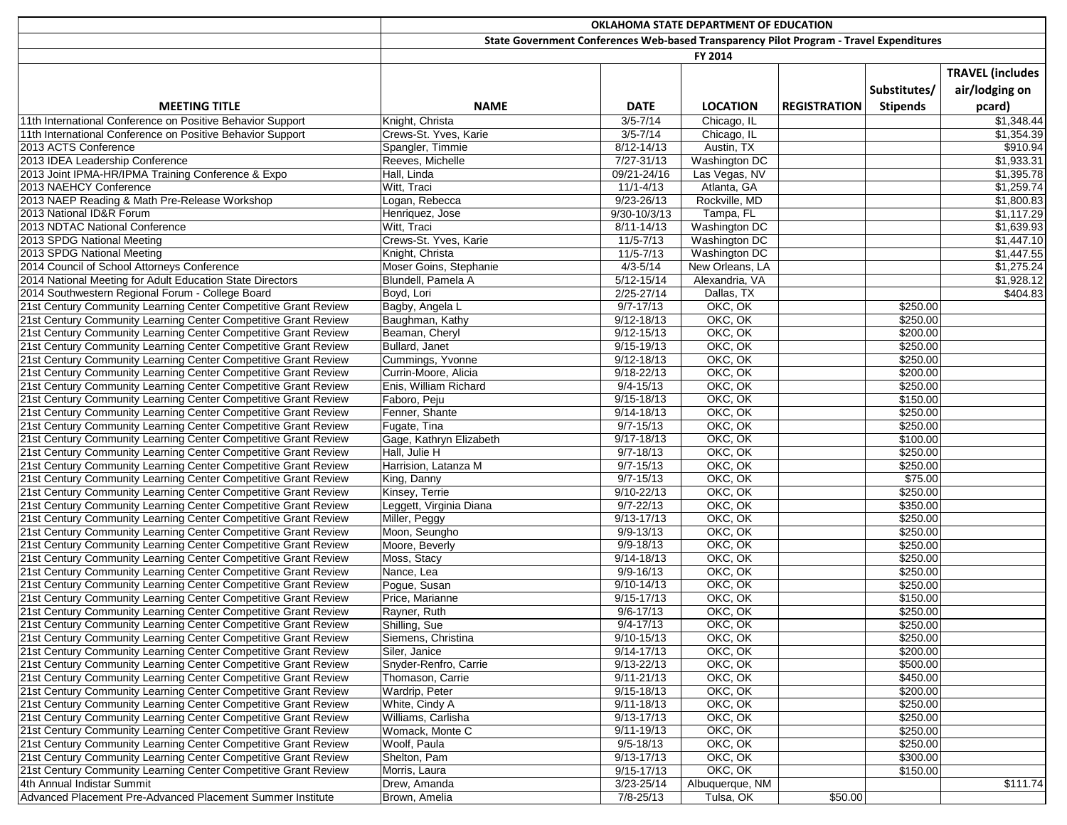|                                                                 | OKLAHOMA STATE DEPARTMENT OF EDUCATION                                                  |                      |                      |                     |                 |                         |
|-----------------------------------------------------------------|-----------------------------------------------------------------------------------------|----------------------|----------------------|---------------------|-----------------|-------------------------|
|                                                                 | State Government Conferences Web-based Transparency Pilot Program - Travel Expenditures |                      |                      |                     |                 |                         |
|                                                                 |                                                                                         |                      | FY 2014              |                     |                 |                         |
|                                                                 |                                                                                         |                      |                      |                     |                 | <b>TRAVEL (includes</b> |
|                                                                 |                                                                                         |                      |                      |                     | Substitutes/    | air/lodging on          |
|                                                                 |                                                                                         |                      |                      |                     |                 |                         |
| <b>MEETING TITLE</b>                                            | <b>NAME</b>                                                                             | <b>DATE</b>          | <b>LOCATION</b>      | <b>REGISTRATION</b> | <b>Stipends</b> | pcard)                  |
| 11th International Conference on Positive Behavior Support      | Knight, Christa                                                                         | $3/5 - 7/14$         | Chicago, IL          |                     |                 | \$1,348.44              |
| 11th International Conference on Positive Behavior Support      | Crews-St. Yves, Karie                                                                   | $3/5 - 7/14$         | Chicago, IL          |                     |                 | \$1,354.39              |
| 2013 ACTS Conference                                            | Spangler, Timmie                                                                        | 8/12-14/13           | Austin, TX           |                     |                 | \$910.94                |
| 2013 IDEA Leadership Conference                                 | Reeves, Michelle                                                                        | $7/27 - 31/13$       | <b>Washington DC</b> |                     |                 | \$1,933.31              |
| 2013 Joint IPMA-HR/IPMA Training Conference & Expo              | Hall, Linda                                                                             | 09/21-24/16          | Las Vegas, NV        |                     |                 | \$1,395.78              |
| 2013 NAEHCY Conference                                          | Witt, Traci                                                                             | $11/1 - 4/13$        | Atlanta, GA          |                     |                 | \$1,259.74              |
| 2013 NAEP Reading & Math Pre-Release Workshop                   | Logan, Rebecca                                                                          | $9/23 - 26/13$       | Rockville, MD        |                     |                 | \$1,800.83              |
| 2013 National ID&R Forum                                        | Henriquez, Jose                                                                         | $9/30 - 10/3/13$     | Tampa, FL            |                     |                 | \$1,117.29              |
| 2013 NDTAC National Conference                                  | Witt, Traci                                                                             | 8/11-14/13           | <b>Washington DC</b> |                     |                 | \$1,639.93              |
| 2013 SPDG National Meeting                                      | Crews-St. Yves, Karie                                                                   | $11/5 - 7/13$        | <b>Washington DC</b> |                     |                 | \$1,447.10              |
| 2013 SPDG National Meeting                                      | Knight, Christa                                                                         | $11/5 - 7/13$        | Washington DC        |                     |                 | \$1,447.55              |
| 2014 Council of School Attorneys Conference                     | Moser Goins, Stephanie                                                                  | $4/3 - 5/14$         | New Orleans, LA      |                     |                 | \$1,275.24              |
| 2014 National Meeting for Adult Education State Directors       | Blundell, Pamela A                                                                      | $5/12 - 15/14$       | Alexandria, VA       |                     |                 | \$1,928.12              |
| 2014 Southwestern Regional Forum - College Board                | Boyd, Lori                                                                              | $2/25 - 27/14$       | Dallas, TX           |                     |                 | \$404.83                |
| 21st Century Community Learning Center Competitive Grant Review | Bagby, Angela L                                                                         | $9/7 - 17/13$        | OKC, OK              |                     | \$250.00        |                         |
| 21st Century Community Learning Center Competitive Grant Review | Baughman, Kathy                                                                         | $9/12 - 18/13$       | OKC, OK              |                     | \$250.00        |                         |
| 21st Century Community Learning Center Competitive Grant Review | Beaman, Cheryl                                                                          | $9/12 - 15/13$       | OKC, OK              |                     | \$200.00        |                         |
| 21st Century Community Learning Center Competitive Grant Review | Bullard, Janet                                                                          | $9/15 - 19/13$       | OKC, OK              |                     | \$250.00        |                         |
| 21st Century Community Learning Center Competitive Grant Review | Cummings, Yvonne                                                                        | $9/12 - 18/13$       | OKC, OK              |                     | \$250.00        |                         |
| 21st Century Community Learning Center Competitive Grant Review | Currin-Moore, Alicia                                                                    | $9/18 - 22/13$       | OKC, OK              |                     | \$200.00        |                         |
| 21st Century Community Learning Center Competitive Grant Review | Enis, William Richard                                                                   | $9/4 - 15/13$        | OKC, OK              |                     | \$250.00        |                         |
| 21st Century Community Learning Center Competitive Grant Review | Faboro, Peju                                                                            | $9/15 - 18/13$       | OKC, OK              |                     | \$150.00        |                         |
| 21st Century Community Learning Center Competitive Grant Review | Fenner, Shante                                                                          | $9/14 - 18/13$       | OKC, OK              |                     | \$250.00        |                         |
| 21st Century Community Learning Center Competitive Grant Review | Fugate, Tina                                                                            | $9/7 - 15/13$        | OKC, OK              |                     | \$250.00        |                         |
| 21st Century Community Learning Center Competitive Grant Review | Gage, Kathryn Elizabeth                                                                 | $9/17 - 18/13$       | OKC, OK              |                     | \$100.00        |                         |
| 21st Century Community Learning Center Competitive Grant Review | Hall, Julie H                                                                           | $9/7 - 18/13$        | OKC, OK              |                     | \$250.00        |                         |
| 21st Century Community Learning Center Competitive Grant Review | Harrision, Latanza M                                                                    | $9/7 - 15/13$        | OKC, OK              |                     | \$250.00        |                         |
| 21st Century Community Learning Center Competitive Grant Review | King, Danny                                                                             | $9/7 - 15/13$        | OKC, OK              |                     | \$75.00         |                         |
| 21st Century Community Learning Center Competitive Grant Review | Kinsey, Terrie                                                                          | $9/10 - 22/13$       | OKC, OK              |                     | \$250.00        |                         |
| 21st Century Community Learning Center Competitive Grant Review | Leggett, Virginia Diana                                                                 | $9/7 - 22/13$        | OKC, OK              |                     | \$350.00        |                         |
| 21st Century Community Learning Center Competitive Grant Review | Miller, Peggy                                                                           | $9/13 - 17/13$       | OKC, OK              |                     | \$250.00        |                         |
| 21st Century Community Learning Center Competitive Grant Review | Moon, Seungho                                                                           | $9/9 - 13/13$        | OKC, OK              |                     | \$250.00        |                         |
| 21st Century Community Learning Center Competitive Grant Review | Moore, Beverly                                                                          | $9/9 - 18/13$        | OKC, OK              |                     | \$250.00        |                         |
| 21st Century Community Learning Center Competitive Grant Review | Moss, Stacy                                                                             | $9/14 - 18/13$       | OKC, OK              |                     | \$250.00        |                         |
| 21st Century Community Learning Center Competitive Grant Review | Nance, Lea                                                                              | $9/9 - 16/13$        | OKC, OK              |                     | \$250.00        |                         |
| 21st Century Community Learning Center Competitive Grant Review | Pogue, Susan                                                                            | $9/10 - 14/13$       | OKC, OK              |                     | \$250.00        |                         |
| 21st Century Community Learning Center Competitive Grant Review | Price, Marianne                                                                         | $9/15 - 17/13$       | OKC, OK              |                     | \$150.00        |                         |
| 21st Century Community Learning Center Competitive Grant Review | Rayner, Ruth                                                                            | $9/6 - 17/13$        | OKC, OK              |                     | \$250.00        |                         |
| 21st Century Community Learning Center Competitive Grant Review | Shilling, Sue                                                                           | 9/4-17/13            | OKC, OK              |                     | \$250.00        |                         |
| 21st Century Community Learning Center Competitive Grant Review | Siemens, Christina                                                                      | $9/10 - 15/13$       | OKC, OK              |                     | \$250.00        |                         |
| 21st Century Community Learning Center Competitive Grant Review | Siler, Janice                                                                           | $9/14 - 17/13$       | OKC, OK              |                     | \$200.00        |                         |
| 21st Century Community Learning Center Competitive Grant Review | Snyder-Renfro, Carrie                                                                   | $9/13 - 22/13$       | OKC, OK              |                     | \$500.00        |                         |
| 21st Century Community Learning Center Competitive Grant Review | Thomason, Carrie                                                                        | $9/11 - 21/13$       | OKC, OK              |                     | \$450.00        |                         |
| 21st Century Community Learning Center Competitive Grant Review | Wardrip, Peter                                                                          | $9/15 - 18/13$       | OKC, OK              |                     | \$200.00        |                         |
| 21st Century Community Learning Center Competitive Grant Review | White, Cindy A                                                                          | $9/11 - 18/13$       | OKC, OK              |                     | \$250.00        |                         |
| 21st Century Community Learning Center Competitive Grant Review | Williams, Carlisha                                                                      | $9/13 - 17/13$       | OKC, OK              |                     | \$250.00        |                         |
| 21st Century Community Learning Center Competitive Grant Review | Womack, Monte C                                                                         | $\frac{9}{11-19/13}$ | OKC, OK              |                     | \$250.00        |                         |
| 21st Century Community Learning Center Competitive Grant Review | Woolf, Paula                                                                            | $9/5 - 18/13$        | OKC, OK              |                     | \$250.00        |                         |
| 21st Century Community Learning Center Competitive Grant Review | Shelton, Pam                                                                            | $9/13 - 17/13$       | OKC, OK              |                     | \$300.00        |                         |
| 21st Century Community Learning Center Competitive Grant Review | Morris, Laura                                                                           | $9/15 - 17/13$       | OKC, OK              |                     | \$150.00        |                         |
| 4th Annual Indistar Summit                                      | Drew, Amanda                                                                            | 3/23-25/14           | Albuquerque, NM      |                     |                 | \$111.74                |
| Advanced Placement Pre-Advanced Placement Summer Institute      | Brown, Amelia                                                                           | $7/8 - 25/13$        | Tulsa, OK            | \$50.00             |                 |                         |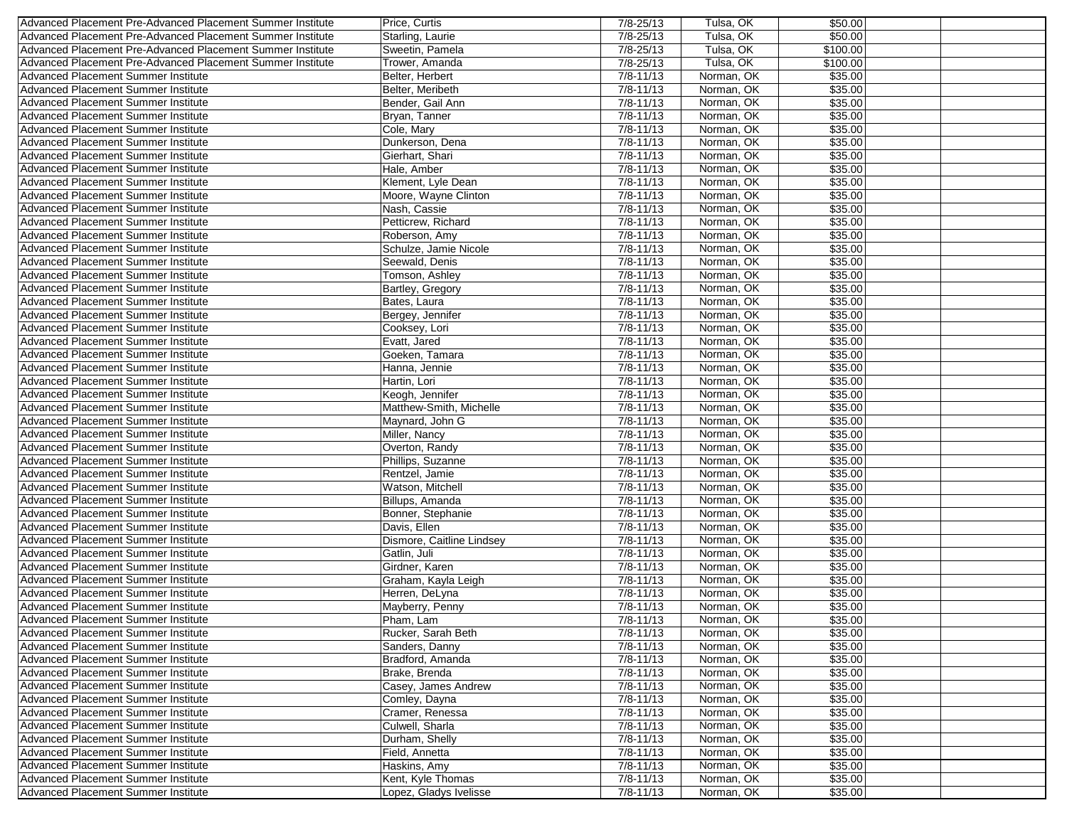| Advanced Placement Pre-Advanced Placement Summer Institute                               | Price, Curtis                           | $7/8 - 25/13$                  | Tulsa, OK                | \$50.00            |
|------------------------------------------------------------------------------------------|-----------------------------------------|--------------------------------|--------------------------|--------------------|
| Advanced Placement Pre-Advanced Placement Summer Institute                               | Starling, Laurie                        | 7/8-25/13                      | Tulsa, OK                | \$50.00            |
| Advanced Placement Pre-Advanced Placement Summer Institute                               | Sweetin, Pamela                         | 7/8-25/13                      | Tulsa, OK                | \$100.00           |
| Advanced Placement Pre-Advanced Placement Summer Institute                               | Trower, Amanda                          | 7/8-25/13                      | Tulsa, OK                | \$100.00           |
| Advanced Placement Summer Institute                                                      | Belter, Herbert                         | $7/8 - 11/13$                  | Norman, OK               | \$35.00            |
| <b>Advanced Placement Summer Institute</b>                                               | Belter, Meribeth                        | $7/8 - 11/13$                  | Norman, OK               | \$35.00            |
| Advanced Placement Summer Institute                                                      | Bender, Gail Ann                        | $7/8 - 11/13$                  | Norman, OK               | \$35.00            |
| Advanced Placement Summer Institute                                                      | Bryan, Tanner                           | $7/8 - 11/13$                  | Norman, OK               | \$35.00            |
| <b>Advanced Placement Summer Institute</b>                                               | Cole, Mary                              | $7/8 - 11/13$                  | Norman, OK               | \$35.00            |
| Advanced Placement Summer Institute                                                      | Dunkerson, Dena                         | $7/8 - 11/13$                  | Norman, OK               | \$35.00            |
| Advanced Placement Summer Institute                                                      | Gierhart, Shari                         | $7/8 - 11/13$                  | Norman, OK               | \$35.00            |
| <b>Advanced Placement Summer Institute</b>                                               | Hale, Amber                             | $7/8 - 11/13$                  | Norman, OK               | \$35.00            |
| Advanced Placement Summer Institute                                                      | Klement. Lyle Dean                      | $7/8 - 11/13$                  | Norman, OK               | \$35.00            |
| Advanced Placement Summer Institute                                                      | Moore, Wayne Clinton                    | $7/8 - 11/13$                  | Norman, OK               | \$35.00            |
| Advanced Placement Summer Institute                                                      | Nash, Cassie                            | $7/8 - 11/13$                  | Norman, OK               | \$35.00            |
| Advanced Placement Summer Institute                                                      | Petticrew, Richard                      | $7/8 - 11/13$                  | Norman, OK               | \$35.00            |
| <b>Advanced Placement Summer Institute</b>                                               | Roberson, Amy                           | $7/8 - 11/13$                  | Norman, OK               | \$35.00            |
| Advanced Placement Summer Institute                                                      |                                         | $7/8 - 11/13$                  | Norman, OK               |                    |
| Advanced Placement Summer Institute                                                      | Schulze, Jamie Nicole<br>Seewald, Denis | $7/8 - 11/13$                  | Norman, OK               | \$35.00<br>\$35.00 |
|                                                                                          |                                         |                                |                          | \$35.00            |
| <b>Advanced Placement Summer Institute</b><br><b>Advanced Placement Summer Institute</b> | Tomson, Ashley                          | $7/8 - 11/13$<br>$7/8 - 11/13$ | Norman, OK<br>Norman, OK |                    |
|                                                                                          | <b>Bartley, Gregory</b>                 |                                | Norman, OK               | \$35.00            |
| Advanced Placement Summer Institute                                                      | Bates, Laura                            | $7/8 - 11/13$                  |                          | \$35.00            |
| <b>Advanced Placement Summer Institute</b>                                               | Bergey, Jennifer                        | $7/8 - 11/13$                  | Norman, OK               | \$35.00            |
| Advanced Placement Summer Institute                                                      | Cooksey, Lori                           | $7/8 - 11/13$                  | Norman, OK               | \$35.00            |
| <b>Advanced Placement Summer Institute</b>                                               | Evatt, Jared                            | $7/8 - 11/13$                  | Norman, OK               | \$35.00            |
| <b>Advanced Placement Summer Institute</b>                                               | Goeken, Tamara                          | $7/8 - 11/13$                  | Norman, OK               | \$35.00            |
| Advanced Placement Summer Institute                                                      | Hanna, Jennie                           | $7/8 - 11/13$                  | Norman, OK               | \$35.00            |
| Advanced Placement Summer Institute                                                      | Hartin, Lori                            | $7/8 - 11/13$                  | Norman, OK               | \$35.00            |
| Advanced Placement Summer Institute                                                      | Keogh, Jennifer                         | $7/8 - 11/13$                  | Norman, OK               | \$35.00            |
| Advanced Placement Summer Institute                                                      | Matthew-Smith, Michelle                 | $7/8 - 11/13$                  | Norman, OK               | \$35.00            |
| <b>Advanced Placement Summer Institute</b>                                               | Maynard, John G                         | $7/8 - 11/13$                  | Norman, OK               | \$35.00            |
| Advanced Placement Summer Institute                                                      | Miller, Nancy                           | $7/8 - 11/13$                  | Norman, OK               | \$35.00            |
| Advanced Placement Summer Institute                                                      | Overton, Randy                          | $7/8 - 11/13$                  | Norman, OK               | \$35.00            |
| <b>Advanced Placement Summer Institute</b>                                               | Phillips, Suzanne                       | $7/8 - 11/13$<br>$7/8 - 11/13$ | Norman, OK<br>Norman, OK | \$35.00<br>\$35.00 |
| Advanced Placement Summer Institute                                                      | Rentzel, Jamie                          |                                |                          |                    |
| Advanced Placement Summer Institute                                                      | Watson, Mitchell                        | $7/8 - 11/13$                  | Norman, OK               | \$35.00            |
| <b>Advanced Placement Summer Institute</b>                                               | Billups, Amanda                         | $7/8 - 11/13$                  | Norman, OK               | \$35.00            |
| Advanced Placement Summer Institute                                                      | Bonner, Stephanie                       | $7/8 - 11/13$                  | Norman, OK               | \$35.00            |
| Advanced Placement Summer Institute<br><b>Advanced Placement Summer Institute</b>        | Davis, Ellen                            | $7/8 - 11/13$<br>$7/8 - 11/13$ | Norman, OK               | \$35.00            |
|                                                                                          | Dismore, Caitline Lindsey               |                                | Norman, OK               | \$35.00            |
| Advanced Placement Summer Institute                                                      | Gatlin, Juli                            | $7/8 - 11/13$                  | Norman, OK               | \$35.00            |
| Advanced Placement Summer Institute                                                      | Girdner, Karen                          | $7/8 - 11/13$                  | Norman, OK               | \$35.00            |
| Advanced Placement Summer Institute                                                      | Graham, Kayla Leigh                     | $7/8 - 11/13$                  | Norman, OK               | \$35.00            |
| Advanced Placement Summer Institute                                                      | Herren, DeLyna                          | $7/8 - 11/13$                  | Norman, OK               | \$35.00            |
| <b>Advanced Placement Summer Institute</b>                                               | Mayberry, Penny                         | $7/8 - 11/13$                  | Norman, OK               | \$35.00            |
| <b>Advanced Placement Summer Institute</b>                                               | Pham, Lam                               | $7/8 - 11/13$                  | Norman, OK               | \$35.00            |
| Advanced Placement Summer Institute<br>Advanced Placement Summer Institute               | Rucker, Sarah Beth                      | 7/8-11/13                      | Norman, OK               | \$35.00            |
|                                                                                          | Sanders, Danny                          | $7/8 - 11/13$<br>$7/8 - 11/13$ | Norman, OK               | \$35.00            |
| Advanced Placement Summer Institute<br>Advanced Placement Summer Institute               | Bradford, Amanda                        |                                | Norman, OK               | \$35.00            |
|                                                                                          | Brake, Brenda                           | $7/8 - 11/13$                  | Norman, OK               | \$35.00            |
| Advanced Placement Summer Institute                                                      | Casey, James Andrew                     | $7/8 - 11/13$                  | Norman, OK               | \$35.00            |
| Advanced Placement Summer Institute                                                      | Comley, Dayna                           | $7/8 - 11/13$                  | Norman, OK               | \$35.00            |
| Advanced Placement Summer Institute                                                      | Cramer, Renessa                         | $7/8 - 11/13$                  | Norman, OK               | \$35.00            |
| <b>Advanced Placement Summer Institute</b>                                               | Culwell, Sharla                         | $7/8 - 11/13$                  | Norman, OK               | \$35.00            |
| Advanced Placement Summer Institute                                                      | Durham, Shelly                          | $7/8 - 11/13$                  | Norman, OK               | \$35.00            |
| Advanced Placement Summer Institute                                                      | Field, Annetta                          | 7/8-11/13                      | Norman, OK               | \$35.00            |
| Advanced Placement Summer Institute                                                      | Haskins, Amy                            | $7/8 - 11/13$                  | Norman, OK               | \$35.00            |
| Advanced Placement Summer Institute                                                      | Kent, Kyle Thomas                       | $7/8 - 11/13$                  | Norman, OK               | \$35.00            |
| Advanced Placement Summer Institute                                                      | Lopez, Gladys Ivelisse                  | $7/8 - 11/13$                  | Norman, OK               | \$35.00            |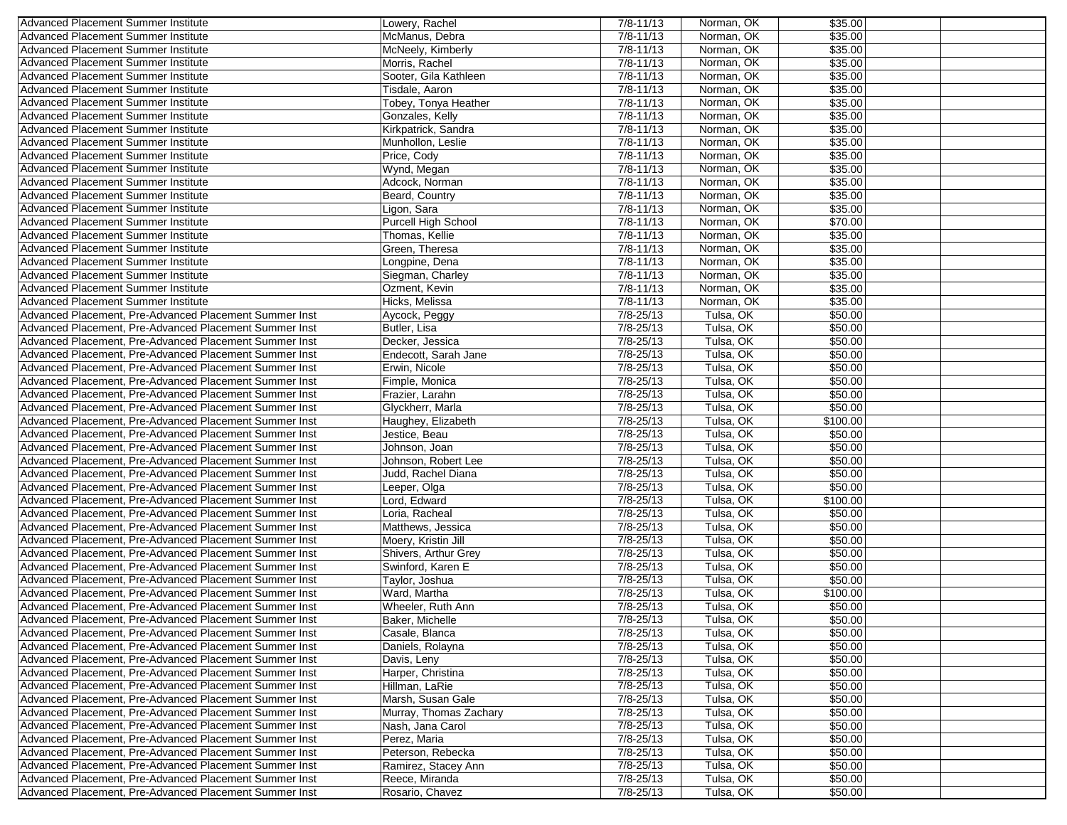| Advanced Placement Summer Institute                                                      | Lowery, Rachel         | $7/8 - 11/13$ | Norman, OK | \$35.00  |  |
|------------------------------------------------------------------------------------------|------------------------|---------------|------------|----------|--|
| Advanced Placement Summer Institute                                                      | McManus, Debra         | $7/8 - 11/13$ | Norman, OK | \$35.00  |  |
| Advanced Placement Summer Institute                                                      | McNeely, Kimberly      | $7/8 - 11/13$ | Norman, OK | \$35.00  |  |
| Advanced Placement Summer Institute                                                      | Morris, Rachel         | $7/8 - 11/13$ | Norman, OK | \$35.00  |  |
| Advanced Placement Summer Institute                                                      | Sooter, Gila Kathleen  | $7/8 - 11/13$ | Norman, OK | \$35.00  |  |
| <b>Advanced Placement Summer Institute</b>                                               | Tisdale, Aaron         | $7/8 - 11/13$ | Norman, OK | \$35.00  |  |
| <b>Advanced Placement Summer Institute</b>                                               | Tobey, Tonya Heather   | $7/8 - 11/13$ | Norman, OK | \$35.00  |  |
| Advanced Placement Summer Institute                                                      | Gonzales, Kelly        | $7/8 - 11/13$ | Norman, OK | \$35.00  |  |
| <b>Advanced Placement Summer Institute</b>                                               | Kirkpatrick, Sandra    | $7/8 - 11/13$ | Norman, OK | \$35.00  |  |
| Advanced Placement Summer Institute                                                      | Munhollon, Leslie      | $7/8 - 11/13$ | Norman, OK | \$35.00  |  |
| Advanced Placement Summer Institute                                                      | Price, Cody            | $7/8 - 11/13$ | Norman, OK | \$35.00  |  |
|                                                                                          |                        |               |            |          |  |
| <b>Advanced Placement Summer Institute</b><br><b>Advanced Placement Summer Institute</b> | Wynd, Megan            | $7/8 - 11/13$ | Norman, OK | \$35.00  |  |
|                                                                                          | Adcock. Norman         | $7/8 - 11/13$ | Norman, OK | \$35.00  |  |
| Advanced Placement Summer Institute                                                      | Beard, Country         | $7/8 - 11/13$ | Norman, OK | \$35.00  |  |
| <b>Advanced Placement Summer Institute</b>                                               | Ligon, Sara            | $7/8 - 11/13$ | Norman, OK | \$35.00  |  |
| Advanced Placement Summer Institute                                                      | Purcell High School    | $7/8 - 11/13$ | Norman, OK | \$70.00  |  |
| Advanced Placement Summer Institute                                                      | Thomas, Kellie         | $7/8 - 11/13$ | Norman, OK | \$35.00  |  |
| Advanced Placement Summer Institute                                                      | Green, Theresa         | $7/8 - 11/13$ | Norman, OK | \$35.00  |  |
| Advanced Placement Summer Institute                                                      | Longpine, Dena         | $7/8 - 11/13$ | Norman, OK | \$35.00  |  |
| <b>Advanced Placement Summer Institute</b>                                               | Siegman, Charley       | $7/8 - 11/13$ | Norman, OK | \$35.00  |  |
| Advanced Placement Summer Institute                                                      | Ozment, Kevin          | $7/8 - 11/13$ | Norman, OK | \$35.00  |  |
| <b>Advanced Placement Summer Institute</b>                                               | Hicks, Melissa         | $7/8 - 11/13$ | Norman, OK | \$35.00  |  |
| Advanced Placement, Pre-Advanced Placement Summer Inst                                   | Aycock, Peggy          | 7/8-25/13     | Tulsa, OK  | \$50.00  |  |
| Advanced Placement, Pre-Advanced Placement Summer Inst                                   | Butler, Lisa           | $7/8 - 25/13$ | Tulsa, OK  | \$50.00  |  |
| Advanced Placement, Pre-Advanced Placement Summer Inst                                   | Decker, Jessica        | 7/8-25/13     | Tulsa, OK  | \$50.00  |  |
| Advanced Placement, Pre-Advanced Placement Summer Inst                                   | Endecott, Sarah Jane   | 7/8-25/13     | Tulsa, OK  | \$50.00  |  |
| Advanced Placement, Pre-Advanced Placement Summer Inst                                   | Erwin, Nicole          | 7/8-25/13     | Tulsa, OK  | \$50.00  |  |
| Advanced Placement, Pre-Advanced Placement Summer Inst                                   | Fimple, Monica         | 7/8-25/13     | Tulsa, OK  | \$50.00  |  |
| Advanced Placement, Pre-Advanced Placement Summer Inst                                   | Frazier, Larahn        | $7/8 - 25/13$ | Tulsa, OK  | \$50.00  |  |
| Advanced Placement, Pre-Advanced Placement Summer Inst                                   | Glyckherr, Marla       | 7/8-25/13     | Tulsa, OK  | \$50.00  |  |
| Advanced Placement, Pre-Advanced Placement Summer Inst                                   | Haughey, Elizabeth     | 7/8-25/13     | Tulsa, OK  | \$100.00 |  |
| Advanced Placement, Pre-Advanced Placement Summer Inst                                   | Jestice, Beau          | $7/8 - 25/13$ | Tulsa, OK  | \$50.00  |  |
| Advanced Placement, Pre-Advanced Placement Summer Inst                                   | Johnson, Joan          | 7/8-25/13     | Tulsa, OK  | \$50.00  |  |
| Advanced Placement, Pre-Advanced Placement Summer Inst                                   | Johnson, Robert Lee    | 7/8-25/13     | Tulsa, OK  | \$50.00  |  |
| Advanced Placement, Pre-Advanced Placement Summer Inst                                   | Judd, Rachel Diana     | $7/8 - 25/13$ | Tulsa, OK  | \$50.00  |  |
| Advanced Placement, Pre-Advanced Placement Summer Inst                                   | Leeper, Olga           | $7/8 - 25/13$ | Tulsa, OK  | \$50.00  |  |
| Advanced Placement, Pre-Advanced Placement Summer Inst                                   | Lord, Edward           | 7/8-25/13     | Tulsa, OK  | \$100.00 |  |
|                                                                                          |                        | $7/8 - 25/13$ | Tulsa, OK  | \$50.00  |  |
| Advanced Placement, Pre-Advanced Placement Summer Inst                                   | Loria, Racheal         |               |            |          |  |
| Advanced Placement, Pre-Advanced Placement Summer Inst                                   | Matthews, Jessica      | 7/8-25/13     | Tulsa, OK  | \$50.00  |  |
| Advanced Placement, Pre-Advanced Placement Summer Inst                                   | Moery, Kristin Jill    | $7/8 - 25/13$ | Tulsa, OK  | \$50.00  |  |
| Advanced Placement, Pre-Advanced Placement Summer Inst                                   | Shivers, Arthur Grey   | 7/8-25/13     | Tulsa, OK  | \$50.00  |  |
| Advanced Placement, Pre-Advanced Placement Summer Inst                                   | Swinford, Karen E      | 7/8-25/13     | Tulsa, OK  | \$50.00  |  |
| Advanced Placement, Pre-Advanced Placement Summer Inst                                   | Taylor, Joshua         | $7/8 - 25/13$ | Tulsa, OK  | \$50.00  |  |
| Advanced Placement, Pre-Advanced Placement Summer Inst                                   | Ward, Martha           | $7/8 - 25/13$ | Tulsa, OK  | \$100.00 |  |
| Advanced Placement, Pre-Advanced Placement Summer Inst                                   | Wheeler, Ruth Ann      | $7/8 - 25/13$ | Tulsa, OK  | \$50.00  |  |
| Advanced Placement, Pre-Advanced Placement Summer Inst                                   | Baker, Michelle        | $7/8 - 25/13$ | Tulsa, OK  | \$50.00  |  |
| Advanced Placement, Pre-Advanced Placement Summer Inst                                   | Casale, Blanca         | $7/8 - 25/13$ | Tulsa, OK  | \$50.00  |  |
| Advanced Placement, Pre-Advanced Placement Summer Inst                                   | Daniels, Rolayna       | 7/8-25/13     | Tulsa, OK  | \$50.00  |  |
| Advanced Placement, Pre-Advanced Placement Summer Inst                                   | Davis, Leny            | $7/8 - 25/13$ | Tulsa, OK  | \$50.00  |  |
| Advanced Placement, Pre-Advanced Placement Summer Inst                                   | Harper, Christina      | 7/8-25/13     | Tulsa, OK  | \$50.00  |  |
| Advanced Placement, Pre-Advanced Placement Summer Inst                                   | Hillman, LaRie         | 7/8-25/13     | Tulsa, OK  | \$50.00  |  |
| Advanced Placement, Pre-Advanced Placement Summer Inst                                   | Marsh, Susan Gale      | 7/8-25/13     | Tulsa, OK  | \$50.00  |  |
| Advanced Placement, Pre-Advanced Placement Summer Inst                                   | Murray, Thomas Zachary | 7/8-25/13     | Tulsa, OK  | \$50.00  |  |
| Advanced Placement, Pre-Advanced Placement Summer Inst                                   | Nash, Jana Carol       | 7/8-25/13     | Tulsa, OK  | \$50.00  |  |
| Advanced Placement, Pre-Advanced Placement Summer Inst                                   | Perez, Maria           | 7/8-25/13     | Tulsa, OK  | \$50.00  |  |
| Advanced Placement, Pre-Advanced Placement Summer Inst                                   | Peterson, Rebecka      | 7/8-25/13     | Tulsa, OK  | \$50.00  |  |
| Advanced Placement, Pre-Advanced Placement Summer Inst                                   | Ramirez, Stacey Ann    | 7/8-25/13     | Tulsa, OK  | \$50.00  |  |
| Advanced Placement, Pre-Advanced Placement Summer Inst                                   | Reece, Miranda         | 7/8-25/13     | Tulsa, OK  | \$50.00  |  |
| Advanced Placement, Pre-Advanced Placement Summer Inst                                   | Rosario, Chavez        | 7/8-25/13     | Tulsa, OK  | \$50.00  |  |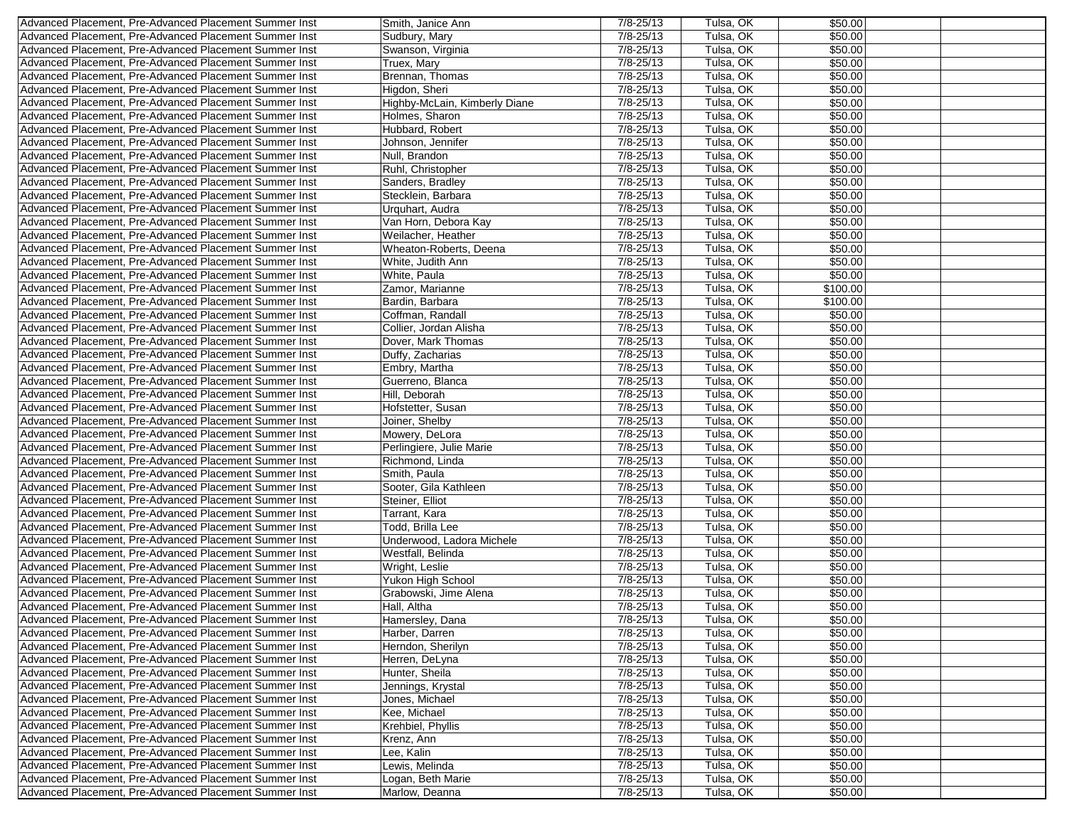| Advanced Placement, Pre-Advanced Placement Summer Inst | Smith, Janice Ann             | $7/8 - 25/13$                  | Tulsa, OK | \$50.00  |  |
|--------------------------------------------------------|-------------------------------|--------------------------------|-----------|----------|--|
| Advanced Placement, Pre-Advanced Placement Summer Inst | Sudbury, Mary                 | $7/8 - 25/13$                  | Tulsa, OK | \$50.00  |  |
| Advanced Placement, Pre-Advanced Placement Summer Inst | Swanson, Virginia             | $7/8 - 25/13$                  | Tulsa, OK | \$50.00  |  |
| Advanced Placement, Pre-Advanced Placement Summer Inst | Truex, Mary                   | $7/8 - 25/13$                  | Tulsa, OK | \$50.00  |  |
| Advanced Placement, Pre-Advanced Placement Summer Inst | Brennan, Thomas               | $7/8 - 25/13$                  | Tulsa, OK | \$50.00  |  |
| Advanced Placement, Pre-Advanced Placement Summer Inst | Higdon, Sheri                 | $7/8 - 25/13$                  | Tulsa, OK | \$50.00  |  |
| Advanced Placement, Pre-Advanced Placement Summer Inst | Highby-McLain, Kimberly Diane | $7/8 - 25/13$                  | Tulsa, OK | \$50.00  |  |
| Advanced Placement, Pre-Advanced Placement Summer Inst | Holmes, Sharon                | 7/8-25/13                      | Tulsa, OK | \$50.00  |  |
|                                                        |                               |                                |           |          |  |
| Advanced Placement, Pre-Advanced Placement Summer Inst | Hubbard, Robert               | $7/8 - 25/13$                  | Tulsa, OK | \$50.00  |  |
| Advanced Placement, Pre-Advanced Placement Summer Inst | Johnson, Jennifer             | $7/8 - 25/13$                  | Tulsa, OK | \$50.00  |  |
| Advanced Placement, Pre-Advanced Placement Summer Inst | Null, Brandon                 | $7/8 - 25/13$                  | Tulsa, OK | \$50.00  |  |
| Advanced Placement, Pre-Advanced Placement Summer Inst | Ruhl, Christopher             | $7/8 - 25/13$                  | Tulsa, OK | \$50.00  |  |
| Advanced Placement, Pre-Advanced Placement Summer Inst | Sanders, Bradley              | $7/8 - 25/13$                  | Tulsa, OK | \$50.00  |  |
| Advanced Placement, Pre-Advanced Placement Summer Inst | Stecklein, Barbara            | $7/8 - 25/13$                  | Tulsa, OK | \$50.00  |  |
| Advanced Placement, Pre-Advanced Placement Summer Inst | Urquhart, Audra               | $7/8 - 25/13$                  | Tulsa, OK | \$50.00  |  |
| Advanced Placement, Pre-Advanced Placement Summer Inst | Van Horn, Debora Kay          | $7/8 - 25/13$                  | Tulsa, OK | \$50.00  |  |
| Advanced Placement, Pre-Advanced Placement Summer Inst | Weilacher, Heather            | $7/8 - 25/13$                  | Tulsa, OK | \$50.00  |  |
| Advanced Placement, Pre-Advanced Placement Summer Inst | Wheaton-Roberts, Deena        | $7/8 - 25/13$                  | Tulsa, OK | \$50.00  |  |
| Advanced Placement, Pre-Advanced Placement Summer Inst | White, Judith Ann             | $7/8 - 25/13$                  | Tulsa, OK | \$50.00  |  |
| Advanced Placement, Pre-Advanced Placement Summer Inst | White, Paula                  | $7/8 - 25/13$                  | Tulsa, OK | \$50.00  |  |
| Advanced Placement, Pre-Advanced Placement Summer Inst | Zamor, Marianne               | $7/8 - 25/13$                  | Tulsa, OK | \$100.00 |  |
| Advanced Placement, Pre-Advanced Placement Summer Inst | Bardin, Barbara               | $7/8 - 25/13$                  | Tulsa, OK | \$100.00 |  |
| Advanced Placement, Pre-Advanced Placement Summer Inst | Coffman, Randall              | $7/8 - 25/13$                  | Tulsa, OK | \$50.00  |  |
| Advanced Placement, Pre-Advanced Placement Summer Inst | Collier, Jordan Alisha        | $7/8 - 25/13$                  | Tulsa, OK | \$50.00  |  |
|                                                        |                               |                                |           |          |  |
| Advanced Placement, Pre-Advanced Placement Summer Inst | Dover, Mark Thomas            | 7/8-25/13                      | Tulsa, OK | \$50.00  |  |
| Advanced Placement, Pre-Advanced Placement Summer Inst | Duffy, Zacharias              | $7/8 - 25/13$                  | Tulsa, OK | \$50.00  |  |
| Advanced Placement, Pre-Advanced Placement Summer Inst | Embry, Martha                 | $7/8 - 25/13$                  | Tulsa, OK | \$50.00  |  |
| Advanced Placement, Pre-Advanced Placement Summer Inst | Guerreno, Blanca              | $7/8 - 25/13$                  | Tulsa, OK | \$50.00  |  |
| Advanced Placement. Pre-Advanced Placement Summer Inst | Hill, Deborah                 | $7/8 - 25/13$                  | Tulsa, OK | \$50.00  |  |
| Advanced Placement, Pre-Advanced Placement Summer Inst | Hofstetter, Susan             | $7/8 - 25/13$                  | Tulsa, OK | \$50.00  |  |
| Advanced Placement, Pre-Advanced Placement Summer Inst | Joiner, Shelby                | $7/8 - 25/13$                  | Tulsa, OK | \$50.00  |  |
| Advanced Placement, Pre-Advanced Placement Summer Inst | Mowery, DeLora                | $7/8 - 25/13$                  | Tulsa, OK | \$50.00  |  |
| Advanced Placement, Pre-Advanced Placement Summer Inst | Perlingiere, Julie Marie      | 7/8-25/13                      | Tulsa, OK | \$50.00  |  |
| Advanced Placement, Pre-Advanced Placement Summer Inst | Richmond, Linda               | $7/8 - 25/13$                  | Tulsa, OK | \$50.00  |  |
| Advanced Placement, Pre-Advanced Placement Summer Inst | Smith, Paula                  | 7/8-25/13                      | Tulsa, OK | \$50.00  |  |
| Advanced Placement, Pre-Advanced Placement Summer Inst | Sooter, Gila Kathleen         | $7/8 - 25/13$                  | Tulsa, OK | \$50.00  |  |
| Advanced Placement, Pre-Advanced Placement Summer Inst | Steiner, Elliot               | $7/8 - 25/13$                  | Tulsa, OK | \$50.00  |  |
| Advanced Placement, Pre-Advanced Placement Summer Inst | Tarrant, Kara                 | $7/8 - 25/13$                  | Tulsa, OK | \$50.00  |  |
| Advanced Placement, Pre-Advanced Placement Summer Inst | Todd, Brilla Lee              | 7/8-25/13                      | Tulsa, OK | \$50.00  |  |
| Advanced Placement, Pre-Advanced Placement Summer Inst | Underwood, Ladora Michele     | $7/8 - 25/13$                  | Tulsa, OK | \$50.00  |  |
| Advanced Placement, Pre-Advanced Placement Summer Inst | Westfall, Belinda             | $7/8 - 25/13$                  | Tulsa, OK | \$50.00  |  |
| Advanced Placement, Pre-Advanced Placement Summer Inst | Wright, Leslie                | 7/8-25/13                      | Tulsa, OK | \$50.00  |  |
| Advanced Placement, Pre-Advanced Placement Summer Inst |                               | $7/8 - 25/13$                  | Tulsa, OK | \$50.00  |  |
|                                                        | Yukon High School             |                                |           |          |  |
| Advanced Placement, Pre-Advanced Placement Summer Inst | Grabowski, Jime Alena         | $7/8 - 25/13$<br>$7/8 - 25/13$ | Tulsa, OK | \$50.00  |  |
| Advanced Placement, Pre-Advanced Placement Summer Inst | Hall, Altha                   |                                | Tulsa, OK | \$50.00  |  |
| Advanced Placement, Pre-Advanced Placement Summer Inst | Hamersley, Dana               | $7/8 - 25/13$                  | Tulsa, OK | \$50.00  |  |
| Advanced Placement, Pre-Advanced Placement Summer Inst | Harber, Darren                | $7/8 - 25/13$                  | Tulsa, OK | \$50.00  |  |
| Advanced Placement, Pre-Advanced Placement Summer Inst | Herndon, Sherilyn             | $7/8 - 25/13$                  | Tulsa, OK | \$50.00  |  |
| Advanced Placement, Pre-Advanced Placement Summer Inst | Herren, DeLyna                | 7/8-25/13                      | Tulsa, OK | \$50.00  |  |
| Advanced Placement, Pre-Advanced Placement Summer Inst | Hunter, Sheila                | 7/8-25/13                      | Tulsa, OK | \$50.00  |  |
| Advanced Placement, Pre-Advanced Placement Summer Inst | Jennings, Krystal             | $7/8 - 25/13$                  | Tulsa, OK | \$50.00  |  |
| Advanced Placement, Pre-Advanced Placement Summer Inst | Jones, Michael                | 7/8-25/13                      | Tulsa, OK | \$50.00  |  |
| Advanced Placement, Pre-Advanced Placement Summer Inst | Kee, Michael                  | $7/8 - 25/13$                  | Tulsa, OK | \$50.00  |  |
| Advanced Placement, Pre-Advanced Placement Summer Inst | Krehbiel, Phyllis             | $7/8 - 25/13$                  | Tulsa, OK | \$50.00  |  |
| Advanced Placement, Pre-Advanced Placement Summer Inst | Krenz, Ann                    | 7/8-25/13                      | Tulsa, OK | \$50.00  |  |
| Advanced Placement, Pre-Advanced Placement Summer Inst | Lee, Kalin                    | 7/8-25/13                      | Tulsa, OK | \$50.00  |  |
| Advanced Placement, Pre-Advanced Placement Summer Inst | Lewis, Melinda                | 7/8-25/13                      | Tulsa, OK | \$50.00  |  |
| Advanced Placement, Pre-Advanced Placement Summer Inst | Logan, Beth Marie             | $7/8 - 25/13$                  | Tulsa, OK | \$50.00  |  |
| Advanced Placement, Pre-Advanced Placement Summer Inst | Marlow, Deanna                | 7/8-25/13                      | Tulsa, OK | \$50.00  |  |
|                                                        |                               |                                |           |          |  |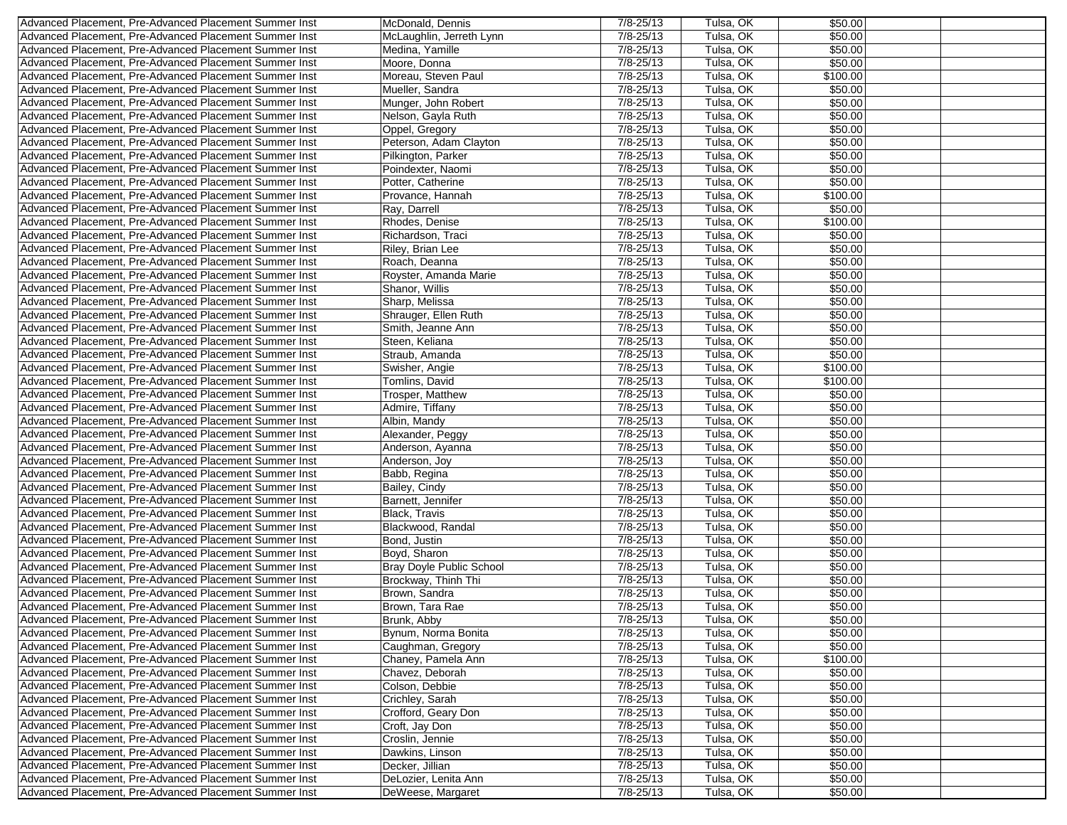| Advanced Placement, Pre-Advanced Placement Summer Inst | McDonald, Dennis         | $7/8 - 25/13$ | Tulsa, OK              | \$50.00  |  |
|--------------------------------------------------------|--------------------------|---------------|------------------------|----------|--|
| Advanced Placement, Pre-Advanced Placement Summer Inst | McLaughlin, Jerreth Lynn | $7/8 - 25/13$ | Tulsa, OK              | \$50.00  |  |
| Advanced Placement, Pre-Advanced Placement Summer Inst | Medina, Yamille          | $7/8 - 25/13$ | Tulsa, OK              | \$50.00  |  |
| Advanced Placement, Pre-Advanced Placement Summer Inst | Moore, Donna             | $7/8 - 25/13$ | Tulsa, OK              | \$50.00  |  |
| Advanced Placement, Pre-Advanced Placement Summer Inst | Moreau, Steven Paul      | $7/8 - 25/13$ | Tulsa, OK              | \$100.00 |  |
| Advanced Placement, Pre-Advanced Placement Summer Inst | Mueller, Sandra          | $7/8 - 25/13$ | Tulsa, OK              | \$50.00  |  |
| Advanced Placement, Pre-Advanced Placement Summer Inst | Munger, John Robert      | $7/8 - 25/13$ | Tulsa, OK              | \$50.00  |  |
| Advanced Placement, Pre-Advanced Placement Summer Inst | Nelson, Gayla Ruth       | 7/8-25/13     | Tulsa, OK              | \$50.00  |  |
| Advanced Placement, Pre-Advanced Placement Summer Inst | Oppel, Gregory           | $7/8 - 25/13$ | Tulsa, OK              | \$50.00  |  |
|                                                        |                          | $7/8 - 25/13$ |                        |          |  |
| Advanced Placement, Pre-Advanced Placement Summer Inst | Peterson, Adam Clayton   |               | Tulsa, OK<br>Tulsa, OK | \$50.00  |  |
| Advanced Placement, Pre-Advanced Placement Summer Inst | Pilkington, Parker       | $7/8 - 25/13$ |                        | \$50.00  |  |
| Advanced Placement, Pre-Advanced Placement Summer Inst | Poindexter, Naomi        | $7/8 - 25/13$ | Tulsa, OK              | \$50.00  |  |
| Advanced Placement, Pre-Advanced Placement Summer Inst | Potter, Catherine        | $7/8 - 25/13$ | Tulsa, OK              | \$50.00  |  |
| Advanced Placement, Pre-Advanced Placement Summer Inst | Provance, Hannah         | $7/8 - 25/13$ | Tulsa, OK              | \$100.00 |  |
| Advanced Placement. Pre-Advanced Placement Summer Inst | Ray, Darrell             | $7/8 - 25/13$ | Tulsa, OK              | \$50.00  |  |
| Advanced Placement, Pre-Advanced Placement Summer Inst | Rhodes, Denise           | $7/8 - 25/13$ | Tulsa, OK              | \$100.00 |  |
| Advanced Placement, Pre-Advanced Placement Summer Inst | Richardson, Traci        | 7/8-25/13     | Tulsa, OK              | \$50.00  |  |
| Advanced Placement, Pre-Advanced Placement Summer Inst | Riley, Brian Lee         | $7/8 - 25/13$ | Tulsa, OK              | \$50.00  |  |
| Advanced Placement, Pre-Advanced Placement Summer Inst | Roach, Deanna            | $7/8 - 25/13$ | Tulsa, OK              | \$50.00  |  |
| Advanced Placement, Pre-Advanced Placement Summer Inst | Royster, Amanda Marie    | $7/8 - 25/13$ | Tulsa, OK              | \$50.00  |  |
| Advanced Placement, Pre-Advanced Placement Summer Inst | Shanor, Willis           | $7/8 - 25/13$ | Tulsa, OK              | \$50.00  |  |
| Advanced Placement, Pre-Advanced Placement Summer Inst | Sharp, Melissa           | $7/8 - 25/13$ | Tulsa, OK              | \$50.00  |  |
| Advanced Placement, Pre-Advanced Placement Summer Inst | Shrauger, Ellen Ruth     | $7/8 - 25/13$ | Tulsa, OK              | \$50.00  |  |
| Advanced Placement, Pre-Advanced Placement Summer Inst | Smith, Jeanne Ann        | $7/8 - 25/13$ | Tulsa, OK              | \$50.00  |  |
| Advanced Placement, Pre-Advanced Placement Summer Inst | Steen, Keliana           | $7/8 - 25/13$ | Tulsa, OK              | \$50.00  |  |
| Advanced Placement, Pre-Advanced Placement Summer Inst | Straub, Amanda           | $7/8 - 25/13$ | Tulsa, OK              | \$50.00  |  |
| Advanced Placement, Pre-Advanced Placement Summer Inst | Swisher, Angie           | $7/8 - 25/13$ | Tulsa, OK              | \$100.00 |  |
| Advanced Placement, Pre-Advanced Placement Summer Inst | Tomlins, David           | $7/8 - 25/13$ | Tulsa, OK              | \$100.00 |  |
|                                                        |                          |               |                        |          |  |
| Advanced Placement, Pre-Advanced Placement Summer Inst | Trosper, Matthew         | 7/8-25/13     | Tulsa, OK              | \$50.00  |  |
| Advanced Placement, Pre-Advanced Placement Summer Inst | Admire, Tiffany          | $7/8 - 25/13$ | Tulsa, OK              | \$50.00  |  |
| Advanced Placement, Pre-Advanced Placement Summer Inst | Albin, Mandy             | $7/8 - 25/13$ | Tulsa, OK              | \$50.00  |  |
| Advanced Placement, Pre-Advanced Placement Summer Inst | Alexander, Peggy         | $7/8 - 25/13$ | Tulsa, OK              | \$50.00  |  |
| Advanced Placement, Pre-Advanced Placement Summer Inst | Anderson, Ayanna         | 7/8-25/13     | Tulsa, OK              | \$50.00  |  |
| Advanced Placement, Pre-Advanced Placement Summer Inst | Anderson, Joy            | $7/8 - 25/13$ | Tulsa, OK              | \$50.00  |  |
| Advanced Placement, Pre-Advanced Placement Summer Inst | Babb, Regina             | $7/8 - 25/13$ | Tulsa, OK              | \$50.00  |  |
| Advanced Placement, Pre-Advanced Placement Summer Inst | Bailey, Cindy            | 7/8-25/13     | Tulsa, OK              | \$50.00  |  |
| Advanced Placement, Pre-Advanced Placement Summer Inst | Barnett, Jennifer        | $7/8 - 25/13$ | Tulsa, OK              | \$50.00  |  |
| Advanced Placement, Pre-Advanced Placement Summer Inst | Black, Travis            | $7/8 - 25/13$ | Tulsa, OK              | \$50.00  |  |
| Advanced Placement, Pre-Advanced Placement Summer Inst | Blackwood, Randal        | 7/8-25/13     | Tulsa, OK              | \$50.00  |  |
| Advanced Placement. Pre-Advanced Placement Summer Inst | Bond, Justin             | $7/8 - 25/13$ | Tulsa, OK              | \$50.00  |  |
| Advanced Placement, Pre-Advanced Placement Summer Inst | Boyd, Sharon             | $7/8 - 25/13$ | Tulsa, OK              | \$50.00  |  |
| Advanced Placement, Pre-Advanced Placement Summer Inst | Bray Doyle Public School | $7/8 - 25/13$ | Tulsa, OK              | \$50.00  |  |
| Advanced Placement, Pre-Advanced Placement Summer Inst | Brockway, Thinh Thi      | $7/8 - 25/13$ | Tulsa, OK              | \$50.00  |  |
| Advanced Placement, Pre-Advanced Placement Summer Inst | Brown, Sandra            | $7/8 - 25/13$ | Tulsa, OK              | \$50.00  |  |
| Advanced Placement, Pre-Advanced Placement Summer Inst | Brown, Tara Rae          | $7/8 - 25/13$ | Tulsa, OK              | \$50.00  |  |
| Advanced Placement, Pre-Advanced Placement Summer Inst | Brunk, Abby              | $7/8 - 25/13$ | Tulsa, OK              | \$50.00  |  |
| Advanced Placement, Pre-Advanced Placement Summer Inst | Bynum, Norma Bonita      | $7/8 - 25/13$ | Tulsa, OK              | \$50.00  |  |
| Advanced Placement, Pre-Advanced Placement Summer Inst | Caughman, Gregory        | $7/8 - 25/13$ | Tulsa, OK              | \$50.00  |  |
| Advanced Placement, Pre-Advanced Placement Summer Inst | Chaney, Pamela Ann       | 7/8-25/13     | Tulsa, OK              | \$100.00 |  |
| Advanced Placement, Pre-Advanced Placement Summer Inst |                          |               | Tulsa, OK              |          |  |
|                                                        | Chavez, Deborah          | 7/8-25/13     |                        | \$50.00  |  |
| Advanced Placement, Pre-Advanced Placement Summer Inst | Colson, Debbie           | $7/8 - 25/13$ | Tulsa, OK              | \$50.00  |  |
| Advanced Placement, Pre-Advanced Placement Summer Inst | Crichley, Sarah          | 7/8-25/13     | Tulsa, OK              | \$50.00  |  |
| Advanced Placement, Pre-Advanced Placement Summer Inst | Crofford, Geary Don      | 7/8-25/13     | Tulsa, OK              | \$50.00  |  |
| Advanced Placement, Pre-Advanced Placement Summer Inst | Croft, Jay Don           | $7/8 - 25/13$ | Tulsa, OK              | \$50.00  |  |
| Advanced Placement, Pre-Advanced Placement Summer Inst | Croslin, Jennie          | 7/8-25/13     | Tulsa, OK              | \$50.00  |  |
| Advanced Placement, Pre-Advanced Placement Summer Inst | Dawkins, Linson          | $7/8 - 25/13$ | Tulsa, OK              | \$50.00  |  |
| Advanced Placement, Pre-Advanced Placement Summer Inst | Decker, Jillian          | 7/8-25/13     | Tulsa, OK              | \$50.00  |  |
| Advanced Placement, Pre-Advanced Placement Summer Inst | DeLozier, Lenita Ann     | 7/8-25/13     | Tulsa, OK              | \$50.00  |  |
| Advanced Placement, Pre-Advanced Placement Summer Inst | DeWeese, Margaret        | 7/8-25/13     | Tulsa, OK              | \$50.00  |  |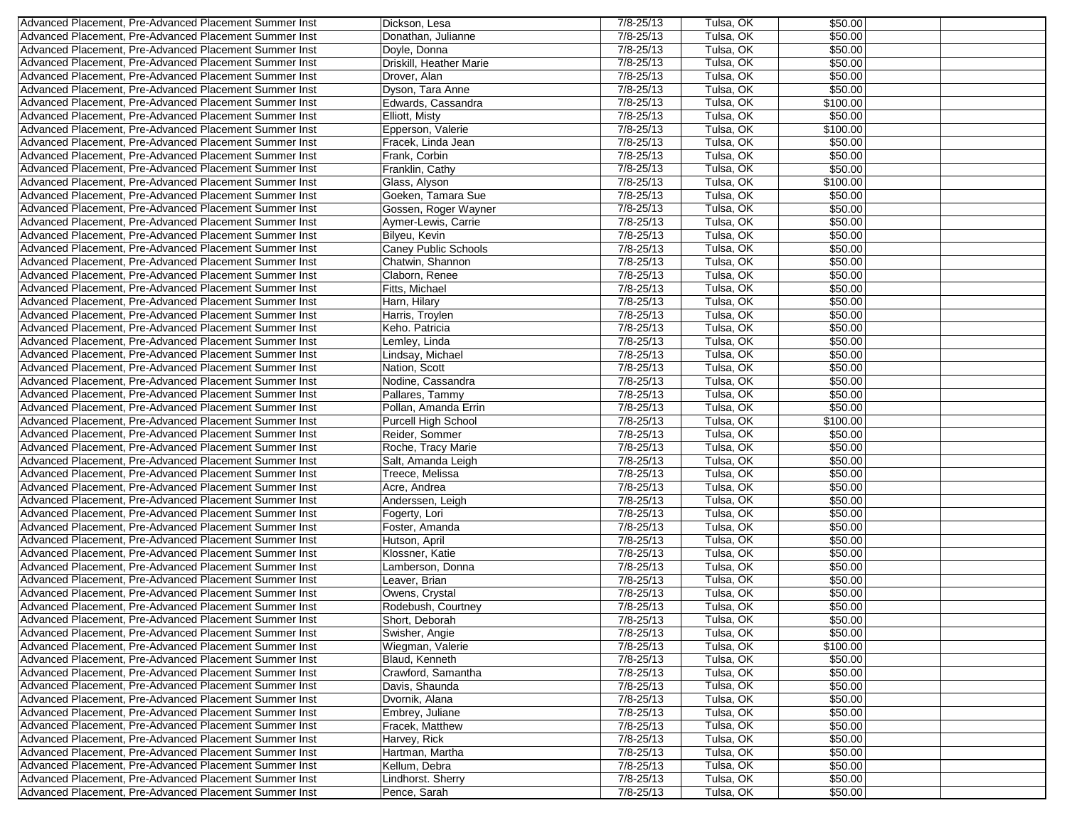| $7/8 - 25/13$<br>\$50.00<br>Advanced Placement, Pre-Advanced Placement Summer Inst<br>Donathan, Julianne<br>Tulsa, OK<br>$7/8 - 25/13$<br>Tulsa, OK<br>\$50.00<br>Advanced Placement, Pre-Advanced Placement Summer Inst<br>Doyle, Donna<br>Driskill, Heather Marie<br>7/8-25/13<br>Tulsa, OK<br>\$50.00<br>Advanced Placement, Pre-Advanced Placement Summer Inst<br>$7/8 - 25/13$<br>Tulsa, OK<br>Advanced Placement, Pre-Advanced Placement Summer Inst<br>Drover, Alan<br>\$50.00<br>Dyson, Tara Anne<br>$7/8 - 25/13$<br>Tulsa, OK<br>\$50.00<br>Advanced Placement, Pre-Advanced Placement Summer Inst<br>$7/8 - 25/13$<br>Tulsa, OK<br>\$100.00<br>Advanced Placement, Pre-Advanced Placement Summer Inst<br>Edwards, Cassandra<br>7/8-25/13<br>Tulsa, OK<br>\$50.00<br>Advanced Placement, Pre-Advanced Placement Summer Inst<br>Elliott, Misty<br>$7/8 - 25/13$<br>Tulsa, OK<br>Advanced Placement, Pre-Advanced Placement Summer Inst<br>\$100.00<br>Epperson, Valerie |  |
|----------------------------------------------------------------------------------------------------------------------------------------------------------------------------------------------------------------------------------------------------------------------------------------------------------------------------------------------------------------------------------------------------------------------------------------------------------------------------------------------------------------------------------------------------------------------------------------------------------------------------------------------------------------------------------------------------------------------------------------------------------------------------------------------------------------------------------------------------------------------------------------------------------------------------------------------------------------------------------|--|
|                                                                                                                                                                                                                                                                                                                                                                                                                                                                                                                                                                                                                                                                                                                                                                                                                                                                                                                                                                                  |  |
|                                                                                                                                                                                                                                                                                                                                                                                                                                                                                                                                                                                                                                                                                                                                                                                                                                                                                                                                                                                  |  |
|                                                                                                                                                                                                                                                                                                                                                                                                                                                                                                                                                                                                                                                                                                                                                                                                                                                                                                                                                                                  |  |
|                                                                                                                                                                                                                                                                                                                                                                                                                                                                                                                                                                                                                                                                                                                                                                                                                                                                                                                                                                                  |  |
|                                                                                                                                                                                                                                                                                                                                                                                                                                                                                                                                                                                                                                                                                                                                                                                                                                                                                                                                                                                  |  |
|                                                                                                                                                                                                                                                                                                                                                                                                                                                                                                                                                                                                                                                                                                                                                                                                                                                                                                                                                                                  |  |
|                                                                                                                                                                                                                                                                                                                                                                                                                                                                                                                                                                                                                                                                                                                                                                                                                                                                                                                                                                                  |  |
|                                                                                                                                                                                                                                                                                                                                                                                                                                                                                                                                                                                                                                                                                                                                                                                                                                                                                                                                                                                  |  |
| $7/8 - 25/13$<br>Tulsa, OK<br>\$50.00<br>Advanced Placement, Pre-Advanced Placement Summer Inst<br>Fracek, Linda Jean                                                                                                                                                                                                                                                                                                                                                                                                                                                                                                                                                                                                                                                                                                                                                                                                                                                            |  |
| $7/8 - 25/13$<br>Tulsa, OK<br>\$50.00<br>Advanced Placement, Pre-Advanced Placement Summer Inst<br>Frank, Corbin                                                                                                                                                                                                                                                                                                                                                                                                                                                                                                                                                                                                                                                                                                                                                                                                                                                                 |  |
| 7/8-25/13<br>Tulsa, OK<br>\$50.00<br>Advanced Placement, Pre-Advanced Placement Summer Inst                                                                                                                                                                                                                                                                                                                                                                                                                                                                                                                                                                                                                                                                                                                                                                                                                                                                                      |  |
| Franklin, Cathy<br>\$100.00                                                                                                                                                                                                                                                                                                                                                                                                                                                                                                                                                                                                                                                                                                                                                                                                                                                                                                                                                      |  |
| $7/8 - 25/13$<br>Tulsa, OK<br>Advanced Placement, Pre-Advanced Placement Summer Inst<br>Glass, Alyson                                                                                                                                                                                                                                                                                                                                                                                                                                                                                                                                                                                                                                                                                                                                                                                                                                                                            |  |
| $7/8 - 25/13$<br>Tulsa, OK<br>Goeken, Tamara Sue<br>\$50.00<br>Advanced Placement, Pre-Advanced Placement Summer Inst                                                                                                                                                                                                                                                                                                                                                                                                                                                                                                                                                                                                                                                                                                                                                                                                                                                            |  |
| $7/8 - 25/13$<br>Tulsa, OK<br>\$50.00<br>Advanced Placement, Pre-Advanced Placement Summer Inst<br>Gossen, Roger Wayner                                                                                                                                                                                                                                                                                                                                                                                                                                                                                                                                                                                                                                                                                                                                                                                                                                                          |  |
| $7/8 - 25/13$<br>Tulsa, OK<br>\$50.00<br>Advanced Placement, Pre-Advanced Placement Summer Inst<br>Aymer-Lewis, Carrie                                                                                                                                                                                                                                                                                                                                                                                                                                                                                                                                                                                                                                                                                                                                                                                                                                                           |  |
| $7/8 - 25/13$<br>Tulsa, OK<br>Advanced Placement, Pre-Advanced Placement Summer Inst<br>\$50.00<br>Bilyeu, Kevin                                                                                                                                                                                                                                                                                                                                                                                                                                                                                                                                                                                                                                                                                                                                                                                                                                                                 |  |
| $7/8 - 25/13$<br>Tulsa, OK<br>\$50.00<br>Advanced Placement, Pre-Advanced Placement Summer Inst<br><b>Caney Public Schools</b>                                                                                                                                                                                                                                                                                                                                                                                                                                                                                                                                                                                                                                                                                                                                                                                                                                                   |  |
| 7/8-25/13<br>Tulsa, OK<br>Advanced Placement, Pre-Advanced Placement Summer Inst<br>Chatwin, Shannon<br>\$50.00                                                                                                                                                                                                                                                                                                                                                                                                                                                                                                                                                                                                                                                                                                                                                                                                                                                                  |  |
| $7/8 - 25/13$<br>Tulsa, OK<br>\$50.00<br>Advanced Placement, Pre-Advanced Placement Summer Inst<br>Claborn, Renee                                                                                                                                                                                                                                                                                                                                                                                                                                                                                                                                                                                                                                                                                                                                                                                                                                                                |  |
| $7/8 - 25/13$<br>Tulsa, OK<br>Advanced Placement, Pre-Advanced Placement Summer Inst<br>Fitts, Michael<br>\$50.00                                                                                                                                                                                                                                                                                                                                                                                                                                                                                                                                                                                                                                                                                                                                                                                                                                                                |  |
| 7/8-25/13<br>Tulsa, OK<br>Advanced Placement, Pre-Advanced Placement Summer Inst<br>Harn, Hilary<br>\$50.00                                                                                                                                                                                                                                                                                                                                                                                                                                                                                                                                                                                                                                                                                                                                                                                                                                                                      |  |
| $7/8 - 25/13$<br>Tulsa, OK<br>\$50.00<br>Advanced Placement, Pre-Advanced Placement Summer Inst<br>Harris, Troylen                                                                                                                                                                                                                                                                                                                                                                                                                                                                                                                                                                                                                                                                                                                                                                                                                                                               |  |
| $7/8 - 25/13$<br>Keho. Patricia<br>Tulsa, OK<br>\$50.00<br>Advanced Placement, Pre-Advanced Placement Summer Inst                                                                                                                                                                                                                                                                                                                                                                                                                                                                                                                                                                                                                                                                                                                                                                                                                                                                |  |
| Tulsa, OK<br>Advanced Placement, Pre-Advanced Placement Summer Inst<br>$7/8 - 25/13$<br>\$50.00<br>Lemley, Linda                                                                                                                                                                                                                                                                                                                                                                                                                                                                                                                                                                                                                                                                                                                                                                                                                                                                 |  |
| $7/8 - 25/13$<br>Tulsa, OK<br>\$50.00<br>Advanced Placement, Pre-Advanced Placement Summer Inst<br>Lindsay, Michael                                                                                                                                                                                                                                                                                                                                                                                                                                                                                                                                                                                                                                                                                                                                                                                                                                                              |  |
| $7/8 - 25/13$<br>Tulsa, OK<br>\$50.00<br>Advanced Placement, Pre-Advanced Placement Summer Inst<br>Nation, Scott                                                                                                                                                                                                                                                                                                                                                                                                                                                                                                                                                                                                                                                                                                                                                                                                                                                                 |  |
| $7/8 - 25/13$<br>Tulsa, OK<br>\$50.00<br>Advanced Placement, Pre-Advanced Placement Summer Inst<br>Nodine, Cassandra                                                                                                                                                                                                                                                                                                                                                                                                                                                                                                                                                                                                                                                                                                                                                                                                                                                             |  |
| $7/8 - 25/13$<br>Tulsa, OK<br>Advanced Placement, Pre-Advanced Placement Summer Inst<br>\$50.00<br>Pallares, Tammy                                                                                                                                                                                                                                                                                                                                                                                                                                                                                                                                                                                                                                                                                                                                                                                                                                                               |  |
| 7/8-25/13<br>Tulsa, OK<br>\$50.00<br>Advanced Placement, Pre-Advanced Placement Summer Inst<br>Pollan, Amanda Errin                                                                                                                                                                                                                                                                                                                                                                                                                                                                                                                                                                                                                                                                                                                                                                                                                                                              |  |
| 7/8-25/13<br>Tulsa, OK<br>\$100.00<br>Advanced Placement, Pre-Advanced Placement Summer Inst<br>Purcell High School                                                                                                                                                                                                                                                                                                                                                                                                                                                                                                                                                                                                                                                                                                                                                                                                                                                              |  |
| $7/8 - 25/13$<br>Tulsa, OK<br>\$50.00<br>Advanced Placement, Pre-Advanced Placement Summer Inst<br>Reider, Sommer                                                                                                                                                                                                                                                                                                                                                                                                                                                                                                                                                                                                                                                                                                                                                                                                                                                                |  |
| Tulsa, OK<br>Advanced Placement, Pre-Advanced Placement Summer Inst<br>7/8-25/13<br>\$50.00<br>Roche, Tracy Marie                                                                                                                                                                                                                                                                                                                                                                                                                                                                                                                                                                                                                                                                                                                                                                                                                                                                |  |
| $7/8 - 25/13$<br>Tulsa, OK<br>\$50.00<br>Advanced Placement, Pre-Advanced Placement Summer Inst<br>Salt, Amanda Leigh                                                                                                                                                                                                                                                                                                                                                                                                                                                                                                                                                                                                                                                                                                                                                                                                                                                            |  |
| $7/8 - 25/13$<br>Tulsa, OK<br>\$50.00<br>Advanced Placement, Pre-Advanced Placement Summer Inst<br>Treece, Melissa                                                                                                                                                                                                                                                                                                                                                                                                                                                                                                                                                                                                                                                                                                                                                                                                                                                               |  |
| 7/8-25/13<br>Tulsa, OK<br>\$50.00<br>Advanced Placement, Pre-Advanced Placement Summer Inst<br>Acre, Andrea                                                                                                                                                                                                                                                                                                                                                                                                                                                                                                                                                                                                                                                                                                                                                                                                                                                                      |  |
| $7/8 - 25/13$<br>Tulsa, OK<br>Advanced Placement, Pre-Advanced Placement Summer Inst<br>\$50.00                                                                                                                                                                                                                                                                                                                                                                                                                                                                                                                                                                                                                                                                                                                                                                                                                                                                                  |  |
| Anderssen, Leigh<br>7/8-25/13<br>Tulsa, OK<br>Advanced Placement, Pre-Advanced Placement Summer Inst<br>\$50.00                                                                                                                                                                                                                                                                                                                                                                                                                                                                                                                                                                                                                                                                                                                                                                                                                                                                  |  |
| Fogerty, Lori<br>$7/8 - 25/13$<br>Tulsa, OK<br>\$50.00<br>Advanced Placement, Pre-Advanced Placement Summer Inst                                                                                                                                                                                                                                                                                                                                                                                                                                                                                                                                                                                                                                                                                                                                                                                                                                                                 |  |
| Foster, Amanda<br>\$50.00                                                                                                                                                                                                                                                                                                                                                                                                                                                                                                                                                                                                                                                                                                                                                                                                                                                                                                                                                        |  |
| 7/8-25/13<br>Tulsa, OK<br>Advanced Placement, Pre-Advanced Placement Summer Inst<br>Hutson, April                                                                                                                                                                                                                                                                                                                                                                                                                                                                                                                                                                                                                                                                                                                                                                                                                                                                                |  |
| $7/8 - 25/13$<br>Tulsa, OK<br>Advanced Placement, Pre-Advanced Placement Summer Inst<br>\$50.00<br>Klossner, Katie                                                                                                                                                                                                                                                                                                                                                                                                                                                                                                                                                                                                                                                                                                                                                                                                                                                               |  |
| Tulsa, OK<br>Advanced Placement, Pre-Advanced Placement Summer Inst<br>7/8-25/13<br>\$50.00<br>Lamberson, Donna                                                                                                                                                                                                                                                                                                                                                                                                                                                                                                                                                                                                                                                                                                                                                                                                                                                                  |  |
| $7/8 - 25/13$<br>Tulsa, OK<br>\$50.00<br>Advanced Placement, Pre-Advanced Placement Summer Inst<br>Leaver, Brian                                                                                                                                                                                                                                                                                                                                                                                                                                                                                                                                                                                                                                                                                                                                                                                                                                                                 |  |
| 7/8-25/13<br>Tulsa, OK<br>Advanced Placement, Pre-Advanced Placement Summer Inst<br>Owens, Crystal<br>\$50.00                                                                                                                                                                                                                                                                                                                                                                                                                                                                                                                                                                                                                                                                                                                                                                                                                                                                    |  |
| Tulsa, OK<br>Advanced Placement, Pre-Advanced Placement Summer Inst<br>Rodebush, Courtney<br>$7/8 - 25/13$<br>\$50.00                                                                                                                                                                                                                                                                                                                                                                                                                                                                                                                                                                                                                                                                                                                                                                                                                                                            |  |
| Tulsa, OK<br>\$50.00<br>$7/8 - 25/13$<br>Advanced Placement, Pre-Advanced Placement Summer Inst<br>Short, Deborah                                                                                                                                                                                                                                                                                                                                                                                                                                                                                                                                                                                                                                                                                                                                                                                                                                                                |  |
| Advanced Placement, Pre-Advanced Placement Summer Inst<br>\$50.00<br>Swisher, Angie<br>7/8-25/13<br>Tulsa, OK                                                                                                                                                                                                                                                                                                                                                                                                                                                                                                                                                                                                                                                                                                                                                                                                                                                                    |  |
| 7/8-25/13<br>Tulsa, OK<br>\$100.00<br>Advanced Placement, Pre-Advanced Placement Summer Inst<br>Wiegman, Valerie                                                                                                                                                                                                                                                                                                                                                                                                                                                                                                                                                                                                                                                                                                                                                                                                                                                                 |  |
| Tulsa, OK<br>Advanced Placement, Pre-Advanced Placement Summer Inst<br>$7/8 - 25/13$<br>\$50.00<br>Blaud, Kenneth                                                                                                                                                                                                                                                                                                                                                                                                                                                                                                                                                                                                                                                                                                                                                                                                                                                                |  |
| Advanced Placement, Pre-Advanced Placement Summer Inst<br>7/8-25/13<br>Tulsa, OK<br>\$50.00<br>Crawford, Samantha                                                                                                                                                                                                                                                                                                                                                                                                                                                                                                                                                                                                                                                                                                                                                                                                                                                                |  |
| 7/8-25/13<br>Tulsa, OK<br>\$50.00<br>Advanced Placement, Pre-Advanced Placement Summer Inst<br>Davis, Shaunda                                                                                                                                                                                                                                                                                                                                                                                                                                                                                                                                                                                                                                                                                                                                                                                                                                                                    |  |
| Advanced Placement, Pre-Advanced Placement Summer Inst<br>$7/8 - 25/13$<br>Dvornik, Alana<br>Tulsa, OK<br>\$50.00                                                                                                                                                                                                                                                                                                                                                                                                                                                                                                                                                                                                                                                                                                                                                                                                                                                                |  |
| Tulsa, OK<br>Advanced Placement, Pre-Advanced Placement Summer Inst<br>$7/8 - 25/13$<br>\$50.00<br>Embrey, Juliane                                                                                                                                                                                                                                                                                                                                                                                                                                                                                                                                                                                                                                                                                                                                                                                                                                                               |  |
| Tulsa, OK<br>Advanced Placement, Pre-Advanced Placement Summer Inst<br>\$50.00<br>Fracek, Matthew<br>7/8-25/13                                                                                                                                                                                                                                                                                                                                                                                                                                                                                                                                                                                                                                                                                                                                                                                                                                                                   |  |
| $7/8 - 25/13$<br>Advanced Placement, Pre-Advanced Placement Summer Inst<br>Harvey, Rick<br>Tulsa, OK<br>\$50.00                                                                                                                                                                                                                                                                                                                                                                                                                                                                                                                                                                                                                                                                                                                                                                                                                                                                  |  |
| $7/8 - 25/13$<br>Tulsa, OK<br>\$50.00<br>Advanced Placement, Pre-Advanced Placement Summer Inst<br>Hartman, Martha                                                                                                                                                                                                                                                                                                                                                                                                                                                                                                                                                                                                                                                                                                                                                                                                                                                               |  |
| Advanced Placement, Pre-Advanced Placement Summer Inst<br>Kellum, Debra<br>7/8-25/13<br>Tulsa, OK<br>\$50.00                                                                                                                                                                                                                                                                                                                                                                                                                                                                                                                                                                                                                                                                                                                                                                                                                                                                     |  |
| Advanced Placement, Pre-Advanced Placement Summer Inst<br>Tulsa, OK<br>Lindhorst. Sherry<br>7/8-25/13<br>\$50.00                                                                                                                                                                                                                                                                                                                                                                                                                                                                                                                                                                                                                                                                                                                                                                                                                                                                 |  |
| Advanced Placement, Pre-Advanced Placement Summer Inst<br>Tulsa, OK<br>\$50.00<br>Pence, Sarah<br>7/8-25/13                                                                                                                                                                                                                                                                                                                                                                                                                                                                                                                                                                                                                                                                                                                                                                                                                                                                      |  |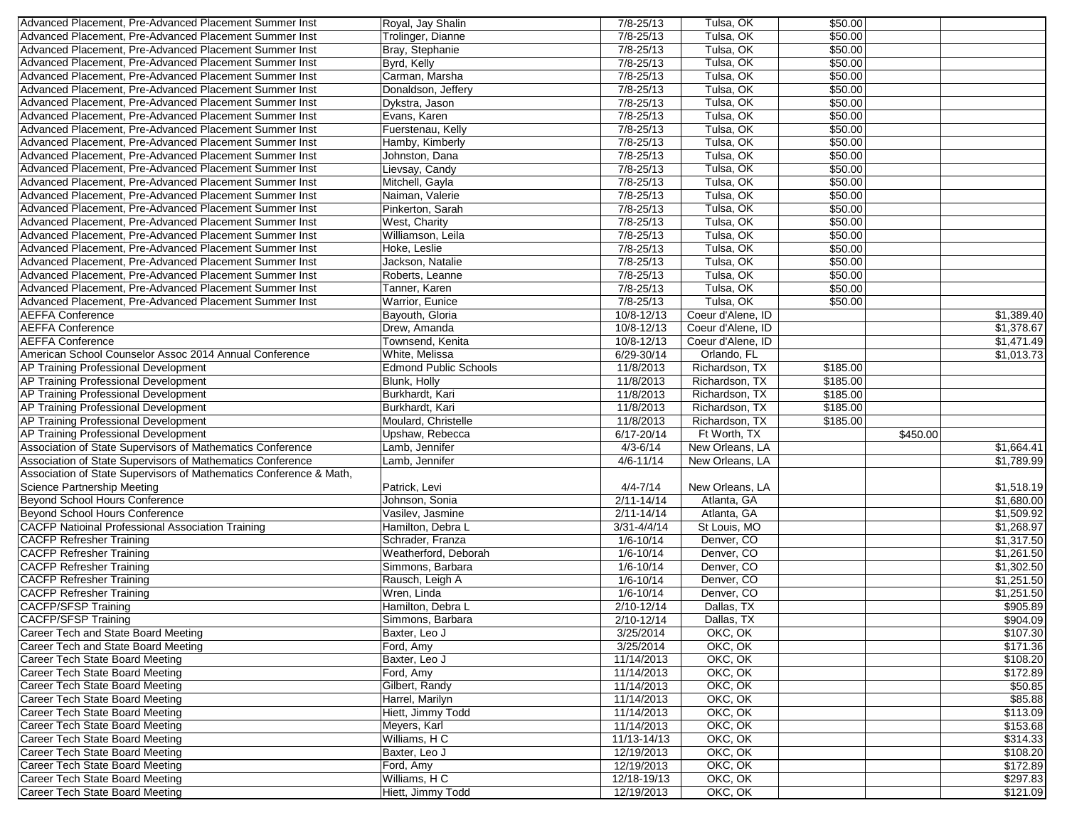| Advanced Placement, Pre-Advanced Placement Summer Inst             | Royal, Jay Shalin                  | $7/8 - 25/13$             | Tulsa, OK          | \$50.00  |                      |
|--------------------------------------------------------------------|------------------------------------|---------------------------|--------------------|----------|----------------------|
| Advanced Placement, Pre-Advanced Placement Summer Inst             | Trolinger, Dianne                  | $7/8 - 25/13$             | Tulsa, OK          | \$50.00  |                      |
| Advanced Placement, Pre-Advanced Placement Summer Inst             | Bray, Stephanie                    | $7/8 - 25/13$             | Tulsa, OK          | \$50.00  |                      |
| Advanced Placement, Pre-Advanced Placement Summer Inst             | Byrd, Kelly                        | $7/8 - 25/13$             | Tulsa, OK          | \$50.00  |                      |
| Advanced Placement, Pre-Advanced Placement Summer Inst             | Carman, Marsha                     | $7/8 - 25/13$             | Tulsa, OK          | \$50.00  |                      |
| Advanced Placement, Pre-Advanced Placement Summer Inst             | Donaldson, Jeffery                 | $7/8 - 25/13$             | Tulsa, OK          | \$50.00  |                      |
| Advanced Placement, Pre-Advanced Placement Summer Inst             | Dykstra, Jason                     | $7/8 - 25/13$             | Tulsa, OK          | \$50.00  |                      |
| Advanced Placement, Pre-Advanced Placement Summer Inst             | Evans, Karen                       | $7/8 - 25/13$             | Tulsa, OK          | \$50.00  |                      |
| Advanced Placement, Pre-Advanced Placement Summer Inst             | Fuerstenau, Kelly                  | $7/8 - 25/13$             | Tulsa, OK          | \$50.00  |                      |
| Advanced Placement, Pre-Advanced Placement Summer Inst             | Hamby, Kimberly                    | $7/8 - 25/13$             | Tulsa, OK          | \$50.00  |                      |
| Advanced Placement, Pre-Advanced Placement Summer Inst             | Johnston, Dana                     | $7/8 - 25/13$             | Tulsa, OK          | \$50.00  |                      |
| Advanced Placement, Pre-Advanced Placement Summer Inst             |                                    | $7/8 - 25/13$             | Tulsa, OK          | \$50.00  |                      |
|                                                                    | Lievsay, Candy                     |                           |                    |          |                      |
| Advanced Placement, Pre-Advanced Placement Summer Inst             | Mitchell, Gayla                    | $7/8 - 25/13$             | Tulsa, OK          | \$50.00  |                      |
| Advanced Placement, Pre-Advanced Placement Summer Inst             | Naiman, Valerie                    | $7/8 - 25/13$             | Tulsa, OK          | \$50.00  |                      |
| Advanced Placement, Pre-Advanced Placement Summer Inst             | Pinkerton, Sarah                   | $7/8 - 25/13$             | Tulsa, OK          | \$50.00  |                      |
| Advanced Placement, Pre-Advanced Placement Summer Inst             | West, Charity                      | $7/8 - 25/13$             | Tulsa, OK          | \$50.00  |                      |
| Advanced Placement, Pre-Advanced Placement Summer Inst             | Williamson, Leila                  | $7/8 - 25/13$             | Tulsa, OK          | \$50.00  |                      |
| Advanced Placement, Pre-Advanced Placement Summer Inst             | Hoke, Leslie                       | $7/8 - 25/13$             | Tulsa, OK          | \$50.00  |                      |
| Advanced Placement, Pre-Advanced Placement Summer Inst             | Jackson, Natalie                   | 7/8-25/13                 | Tulsa, OK          | \$50.00  |                      |
| Advanced Placement, Pre-Advanced Placement Summer Inst             | Roberts, Leanne                    | $7/8 - 25/13$             | Tulsa, OK          | \$50.00  |                      |
| Advanced Placement, Pre-Advanced Placement Summer Inst             | Tanner, Karen                      | $7/8 - 25/13$             | Tulsa, OK          | \$50.00  |                      |
| Advanced Placement, Pre-Advanced Placement Summer Inst             | Warrior, Eunice                    | $7/8 - 25/13$             | Tulsa, OK          | \$50.00  |                      |
| <b>AEFFA Conference</b>                                            | Bayouth, Gloria                    | 10/8-12/13                | Coeur d'Alene, ID  |          | \$1,389.40           |
| <b>AEFFA Conference</b>                                            | Drew, Amanda                       | 10/8-12/13                | Coeur d'Alene, ID  |          | \$1,378.67           |
| <b>AEFFA Conference</b>                                            | Townsend, Kenita                   | $10/8 - 12/13$            | Coeur d'Alene, ID  |          | \$1,471.49           |
| American School Counselor Assoc 2014 Annual Conference             | White, Melissa                     | 6/29-30/14                | Orlando, FL        |          | \$1,013.73           |
| <b>AP Training Professional Development</b>                        | <b>Edmond Public Schools</b>       | 11/8/2013                 | Richardson, TX     | \$185.00 |                      |
| AP Training Professional Development                               | Blunk, Holly                       | 11/8/2013                 | Richardson, TX     | \$185.00 |                      |
| AP Training Professional Development                               | Burkhardt, Kari                    | 11/8/2013                 | Richardson, TX     | \$185.00 |                      |
| AP Training Professional Development                               | Burkhardt, Kari                    | 11/8/2013                 | Richardson, TX     | \$185.00 |                      |
|                                                                    |                                    |                           |                    |          |                      |
|                                                                    |                                    |                           |                    |          |                      |
| <b>AP Training Professional Development</b>                        | Moulard, Christelle                | 11/8/2013                 | Richardson, TX     | \$185.00 |                      |
| AP Training Professional Development                               | Upshaw, Rebecca                    | $6/17 - 20/14$            | Ft Worth, TX       |          | \$450.00             |
| Association of State Supervisors of Mathematics Conference         | Lamb, Jennifer                     | $4/3 - 6/14$              | New Orleans, LA    |          | \$1,664.41           |
| Association of State Supervisors of Mathematics Conference         | Lamb, Jennifer                     | $4/6 - 11/14$             | New Orleans, LA    |          | \$1,789.99           |
| Association of State Supervisors of Mathematics Conference & Math, |                                    |                           |                    |          |                      |
| Science Partnership Meeting                                        | Patrick, Levi                      | $4/4 - 7/14$              | New Orleans, LA    |          | \$1,518.19           |
| Beyond School Hours Conference                                     | Johnson, Sonia                     | $2/11 - 14/14$            | Atlanta, GA        |          | \$1,680.00           |
| Beyond School Hours Conference                                     | Vasilev, Jasmine                   | $2/11 - 14/14$            | Atlanta, GA        |          | \$1,509.92           |
| <b>CACFP Natioinal Professional Association Training</b>           | Hamilton, Debra L                  | $3/31 - 4/4/14$           | St Louis, MO       |          | \$1,268.97           |
| <b>CACFP Refresher Training</b>                                    | Schrader, Franza                   | $1/6 - 10/14$             | Denver, CO         |          | \$1,317.50           |
| <b>CACFP Refresher Training</b>                                    | Weatherford, Deborah               | $1/6 - 10/14$             | Denver, CO         |          | \$1,261.50           |
| <b>CACFP Refresher Training</b>                                    | Simmons, Barbara                   | $1/6 - 10/14$             | Denver, CO         |          | \$1,302.50           |
| <b>CACFP Refresher Training</b>                                    |                                    | $1/6 - 10/14$             | Denver, CO         |          | \$1,251.50           |
|                                                                    | Rausch, Leigh A<br>Wren, Linda     |                           | Denver, CO         |          |                      |
| <b>CACFP Refresher Training</b>                                    |                                    | $1/6 - 10/14$             |                    |          | \$1,251.50           |
| <b>CACFP/SFSP Training</b>                                         | Hamilton, Debra L                  | 2/10-12/14                | Dallas, TX         |          | \$905.89             |
| <b>CACFP/SFSP Training</b>                                         | Simmons, Barbara                   | $2/10 - 12/14$            | Dallas, TX         |          | \$904.09             |
| Career Tech and State Board Meeting                                | Baxter, Leo J                      | 3/25/2014                 | OKC, OK            |          | \$107.30             |
| Career Tech and State Board Meeting                                | Ford, Amy                          | 3/25/2014                 | OKC, OK            |          | \$171.36             |
| Career Tech State Board Meeting                                    | Baxter, Leo J                      | 11/14/2013                | OKC, OK            |          | \$108.20             |
| Career Tech State Board Meeting                                    | Ford, Amy                          | 11/14/2013                | OKC, OK            |          | \$172.89             |
| Career Tech State Board Meeting                                    | Gilbert, Randy                     | 11/14/2013                | OKC, OK            |          | \$50.85              |
| Career Tech State Board Meeting                                    | Harrel, Marilyn                    | 11/14/2013                | OKC, OK            |          | \$85.88              |
| Career Tech State Board Meeting                                    | Hiett, Jimmy Todd                  | 11/14/2013                | OKC, OK            |          | \$113.09             |
| Career Tech State Board Meeting                                    | Meyers, Karl                       | 11/14/2013                | OKC, OK            |          | \$153.68             |
| Career Tech State Board Meeting                                    | Williams, HC                       | 11/13-14/13               | OKC, OK            |          | \$314.33             |
| Career Tech State Board Meeting                                    | Baxter, Leo J                      | 12/19/2013                | OKC, OK            |          | \$108.20             |
| Career Tech State Board Meeting                                    | Ford, Amy                          | 12/19/2013                | OKC, OK            |          | \$172.89             |
| Career Tech State Board Meeting<br>Career Tech State Board Meeting | Williams, H C<br>Hiett, Jimmy Todd | 12/18-19/13<br>12/19/2013 | OKC, OK<br>OKC, OK |          | \$297.83<br>\$121.09 |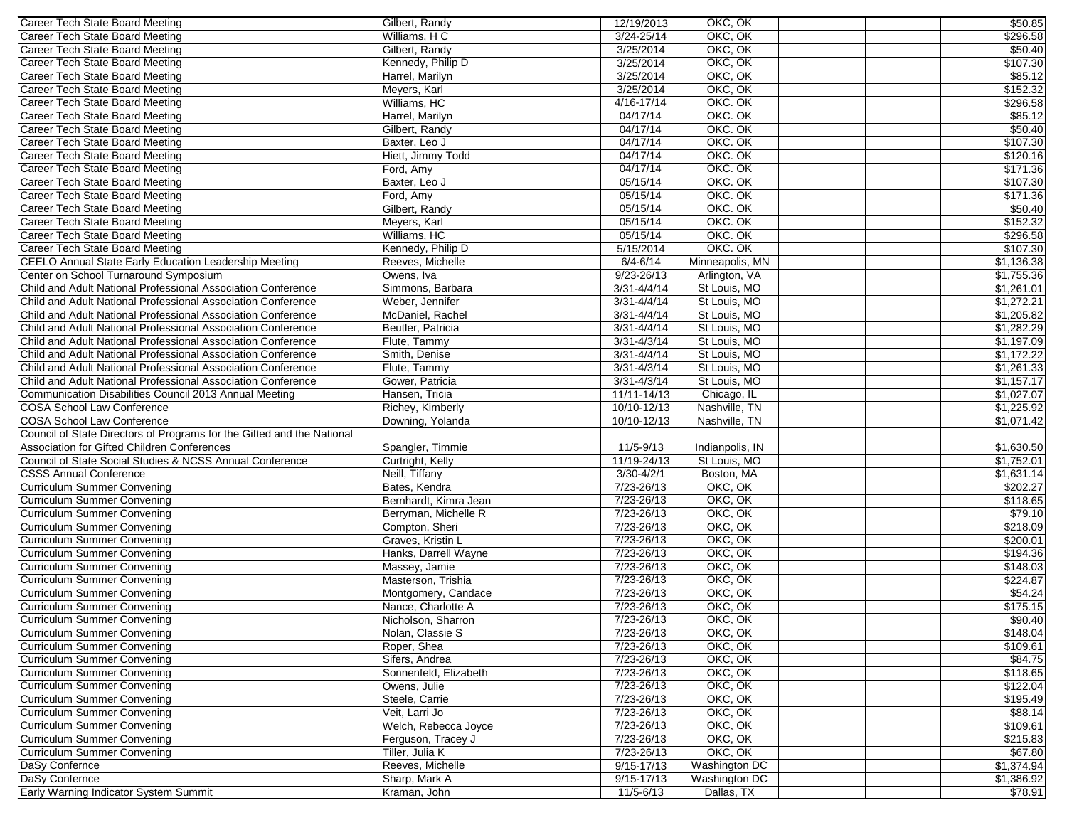| Career Tech State Board Meeting                                          | Gilbert, Randy        | 12/19/2013                       | OKC, OK            | \$50.85    |
|--------------------------------------------------------------------------|-----------------------|----------------------------------|--------------------|------------|
| Career Tech State Board Meeting                                          | Williams, HC          | $3/24 - 25/14$                   | OKC, OK            | \$296.58   |
| Career Tech State Board Meeting                                          | Gilbert, Randy        | 3/25/2014                        | OKC, OK            | \$50.40    |
| <b>Career Tech State Board Meeting</b>                                   | Kennedy, Philip D     | 3/25/2014                        | OKC, OK            | \$107.30   |
| Career Tech State Board Meeting                                          | Harrel, Marilyn       | 3/25/2014                        | OKC, OK            | \$85.12    |
| Career Tech State Board Meeting                                          | Meyers, Karl          | 3/25/2014                        | OKC, OK            | \$152.32   |
| Career Tech State Board Meeting                                          | Williams, HC          | $4/16 - 17/14$                   | OKC. OK            | \$296.58   |
| Career Tech State Board Meeting                                          | Harrel, Marilyn       | 04/17/14                         | OKC. OK            | \$85.12    |
| Career Tech State Board Meeting                                          | Gilbert, Randy        | 04/17/14                         | OKC. OK            | \$50.40    |
| Career Tech State Board Meeting                                          | Baxter, Leo J         | 04/17/14                         | OKC. OK            | \$107.30   |
| Career Tech State Board Meeting                                          | Hiett, Jimmy Todd     | 04/17/14                         | OKC. OK            | \$120.16   |
| Career Tech State Board Meeting                                          | Ford, Amy             | 04/17/14                         | OKC. OK            | \$171.36   |
| Career Tech State Board Meeting                                          | Baxter, Leo J         | 05/15/14                         | OKC. OK            | \$107.30   |
| Career Tech State Board Meeting                                          | Ford, Amy             | 05/15/14                         | OKC. OK            | \$171.36   |
| Career Tech State Board Meeting                                          | Gilbert, Randy        | 05/15/14                         | OKC. OK            | \$50.40    |
| Career Tech State Board Meeting                                          | Meyers, Karl          | 05/15/14                         | OKC. OK            | \$152.32   |
| Career Tech State Board Meeting                                          | Williams, HC          | 05/15/14                         | OKC. OK            | \$296.58   |
| Career Tech State Board Meeting                                          | Kennedy, Philip D     | 5/15/2014                        | OKC. OK            | \$107.30   |
| CEELO Annual State Early Education Leadership Meeting                    | Reeves, Michelle      | $6/4 - 6/14$                     | Minneapolis, MN    | \$1,136.38 |
| Center on School Turnaround Symposium                                    | Owens, Iva            | $9/23 - 26/13$                   | Arlington, VA      | \$1,755.36 |
| Child and Adult National Professional Association Conference             | Simmons, Barbara      | $3/31 - 4/4/14$                  | St Louis, MO       | \$1,261.01 |
| Child and Adult National Professional Association Conference             | Weber, Jennifer       | $3/31 - 4/4/14$                  | St Louis, MO       | \$1,272.21 |
| Child and Adult National Professional Association Conference             | McDaniel, Rachel      | $3/31 - 4/4/14$                  | St Louis, MO       | \$1,205.82 |
| Child and Adult National Professional Association Conference             | Beutler, Patricia     | $3/31 - 4/4/14$                  | St Louis, MO       | \$1,282.29 |
| Child and Adult National Professional Association Conference             |                       |                                  | St Louis, MO       |            |
| Child and Adult National Professional Association Conference             | Flute, Tammy          | $3/31 - 4/3/14$                  |                    | \$1,197.09 |
|                                                                          | Smith, Denise         | $3/31 - 4/4/14$                  | St Louis, MO       | \$1,172.22 |
| Child and Adult National Professional Association Conference             | Flute, Tammy          | $3/31 - 4/3/14$                  | St Louis, MO       | \$1,261.33 |
| Child and Adult National Professional Association Conference             | Gower, Patricia       | $3/31 - 4/3/14$                  | St Louis, MO       | \$1,157.17 |
| Communication Disabilities Council 2013 Annual Meeting                   | Hansen, Tricia        | 11/11-14/13                      | Chicago, IL        | \$1,027.07 |
| <b>COSA School Law Conference</b>                                        | Richey, Kimberly      | 10/10-12/13                      | Nashville, TN      | \$1,225.92 |
| <b>COSA School Law Conference</b>                                        | Downing, Yolanda      | 10/10-12/13                      | Nashville, TN      | \$1,071.42 |
| Council of State Directors of Programs for the Gifted and the National   |                       |                                  |                    |            |
| Association for Gifted Children Conferences                              | Spangler, Timmie      | 11/5-9/13                        | Indianpolis, IN    | \$1,630.50 |
| Council of State Social Studies & NCSS Annual Conference                 | Curtright, Kelly      | 11/19-24/13                      | St Louis, MO       | \$1,752.01 |
| <b>CSSS Annual Conference</b>                                            | Neill, Tiffany        | $3/30 - 4/2/1$                   | Boston, MA         | \$1,631.14 |
| <b>Curriculum Summer Convening</b><br><b>Curriculum Summer Convening</b> | Bates, Kendra         | 7/23-26/13<br>$7/23 - 26/13$     | OKC, OK<br>OKC, OK | \$202.27   |
|                                                                          | Bernhardt, Kimra Jean |                                  |                    | \$118.65   |
| <b>Curriculum Summer Convening</b>                                       | Berryman, Michelle R  | 7/23-26/13                       | OKC, OK            | \$79.10    |
| <b>Curriculum Summer Convening</b>                                       | Compton, Sheri        | 7/23-26/13                       | OKC, OK            | \$218.09   |
| <b>Curriculum Summer Convening</b>                                       | Graves, Kristin L     | 7/23-26/13                       | OKC, OK            | \$200.01   |
| <b>Curriculum Summer Convening</b><br><b>Curriculum Summer Convening</b> | Hanks, Darrell Wayne  | $7/23 - 26/13$<br>$7/23 - 26/13$ | OKC, OK<br>OKC, OK | \$194.36   |
|                                                                          | Massey, Jamie         |                                  |                    | \$148.03   |
| <b>Curriculum Summer Convening</b>                                       | Masterson, Trishia    | $7/23 - 26/13$                   | OKC, OK            | \$224.87   |
| <b>Curriculum Summer Convening</b>                                       | Montgomery, Candace   | 7/23-26/13                       | OKC, OK            | \$54.24    |
| <b>Curriculum Summer Convening</b>                                       | Nance, Charlotte A    | $7/23 - 26/13$                   | OKC, OK            | \$175.15   |
| Curriculum Summer Convening                                              | Nicholson, Sharron    | 7/23-26/13                       | OKC, OK            | \$90.40    |
| Curriculum Summer Convening                                              | Nolan, Classie S      | 7/23-26/13                       | OKC, OK            | \$148.04   |
| Curriculum Summer Convening                                              | Roper, Shea           | 7/23-26/13                       | OKC, OK            | \$109.61   |
| <b>Curriculum Summer Convening</b>                                       | Sifers, Andrea        | 7/23-26/13                       | OKC, OK            | \$84.75    |
| <b>Curriculum Summer Convening</b>                                       | Sonnenfeld, Elizabeth | 7/23-26/13                       | OKC, OK            | \$118.65   |
| Curriculum Summer Convening                                              | Owens, Julie          | 7/23-26/13                       | OKC, OK            | \$122.04   |
| <b>Curriculum Summer Convening</b>                                       | Steele, Carrie        | 7/23-26/13                       | OKC, OK            | \$195.49   |
| <b>Curriculum Summer Convening</b>                                       | Veit, Larri Jo        | 7/23-26/13                       | OKC, OK            | \$88.14    |
| Curriculum Summer Convening                                              | Welch, Rebecca Joyce  | 7/23-26/13                       | OKC, OK            | \$109.61   |
| <b>Curriculum Summer Convening</b>                                       | Ferguson, Tracey J    | 7/23-26/13                       | OKC, OK            | \$215.83   |
| <b>Curriculum Summer Convening</b>                                       | Tiller, Julia K       | 7/23-26/13                       | OKC, OK            | \$67.80    |
| DaSy Confernce                                                           | Reeves, Michelle      | $9/15 - 17/13$                   | Washington DC      | \$1,374.94 |
| DaSy Confernce                                                           | Sharp, Mark A         | $9/15 - 17/13$                   | Washington DC      | \$1,386.92 |
| Early Warning Indicator System Summit                                    | Kraman, John          | 11/5-6/13                        | Dallas, TX         | \$78.91    |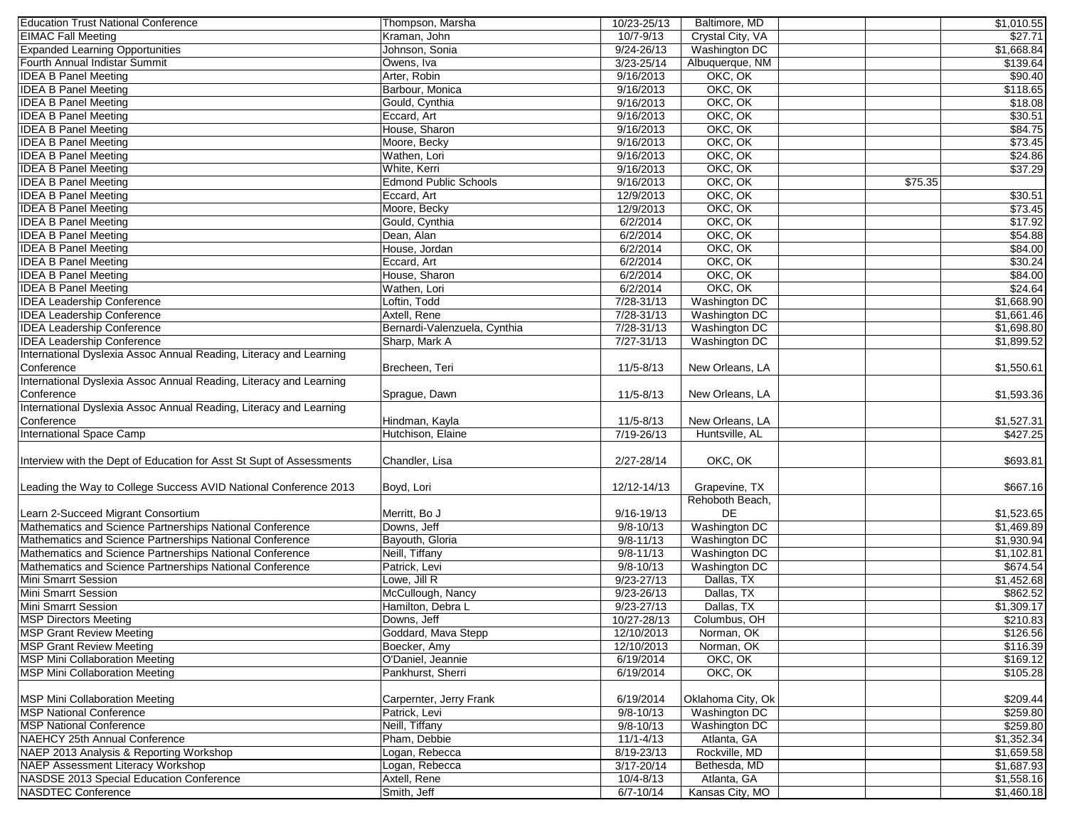| <b>Education Trust National Conference</b>                           | Thompson, Marsha             | 10/23-25/13    | Baltimore, MD        |         | \$1,010.55 |
|----------------------------------------------------------------------|------------------------------|----------------|----------------------|---------|------------|
| <b>EIMAC Fall Meeting</b>                                            | Kraman, John                 | $10/7 - 9/13$  | Crystal City, VA     |         | \$27.71    |
| <b>Expanded Learning Opportunities</b>                               | Johnson, Sonia               | $9/24 - 26/13$ | Washington DC        |         | \$1,668.84 |
| Fourth Annual Indistar Summit                                        | Owens, Iva                   | $3/23 - 25/14$ | Albuquerque, NM      |         | \$139.64   |
| <b>IDEA B Panel Meeting</b>                                          | Arter, Robin                 | 9/16/2013      | OKC, OK              |         | \$90.40    |
| <b>IDEA B Panel Meeting</b>                                          | Barbour, Monica              | 9/16/2013      | OKC, OK              |         | \$118.65   |
| <b>IDEA B Panel Meeting</b>                                          | Gould, Cynthia               | 9/16/2013      | OKC, OK              |         | \$18.08    |
| <b>IDEA B Panel Meeting</b>                                          | Eccard, Art                  | 9/16/2013      | OKC, OK              |         | \$30.51    |
| <b>IDEA B Panel Meeting</b>                                          | House, Sharon                | 9/16/2013      | OKC, OK              |         | \$84.75    |
| <b>IDEA B Panel Meeting</b>                                          | Moore, Becky                 | 9/16/2013      | OKC, OK              |         | \$73.45    |
| <b>IDEA B Panel Meeting</b>                                          | Wathen, Lori                 | 9/16/2013      | OKC, OK              |         | \$24.86    |
| <b>IDEA B Panel Meeting</b>                                          | White, Kerri                 | 9/16/2013      | OKC, OK              |         | \$37.29    |
| <b>IDEA B Panel Meeting</b>                                          | <b>Edmond Public Schools</b> | 9/16/2013      | OKC, OK              | \$75.35 |            |
| <b>IDEA B Panel Meeting</b>                                          | Eccard, Art                  | 12/9/2013      | OKC, OK              |         | \$30.51    |
| <b>IDEA B Panel Meeting</b>                                          | Moore, Becky                 | 12/9/2013      | OKC, OK              |         | \$73.45    |
| <b>IDEA B Panel Meeting</b>                                          | Gould, Cynthia               | 6/2/2014       | OKC, OK              |         | \$17.92    |
| <b>IDEA B Panel Meeting</b>                                          | Dean, Alan                   | 6/2/2014       | OKC, OK              |         | \$54.88    |
| <b>IDEA B Panel Meeting</b>                                          | House, Jordan                | 6/2/2014       | OKC, OK              |         | \$84.00    |
| <b>IDEA B Panel Meeting</b>                                          | Eccard, Art                  | 6/2/2014       | OKC, OK              |         | \$30.24    |
| <b>IDEA B Panel Meeting</b>                                          | House, Sharon                | 6/2/2014       | OKC, OK              |         | \$84.00    |
| <b>IDEA B Panel Meeting</b>                                          | Wathen, Lori                 | 6/2/2014       | OKC, OK              |         | \$24.64    |
| <b>IDEA Leadership Conference</b>                                    | Loftin, Todd                 | $7/28 - 31/13$ | Washington DC        |         | \$1,668.90 |
| <b>IDEA Leadership Conference</b>                                    | Axtell, Rene                 | $7/28 - 31/13$ | Washington DC        |         | \$1,661.46 |
| <b>IDEA Leadership Conference</b>                                    | Bernardi-Valenzuela, Cynthia | $7/28 - 31/13$ | <b>Washington DC</b> |         | \$1,698.80 |
| <b>IDEA Leadership Conference</b>                                    | Sharp, Mark A                |                | <b>Washington DC</b> |         | \$1,899.52 |
| International Dyslexia Assoc Annual Reading, Literacy and Learning   |                              | 7/27-31/13     |                      |         |            |
|                                                                      |                              |                |                      |         |            |
| Conference                                                           | Brecheen, Teri               | 11/5-8/13      | New Orleans, LA      |         | \$1,550.61 |
| International Dyslexia Assoc Annual Reading, Literacy and Learning   |                              |                |                      |         |            |
| Conference                                                           | Sprague, Dawn                | 11/5-8/13      | New Orleans, LA      |         | \$1,593.36 |
| International Dyslexia Assoc Annual Reading, Literacy and Learning   |                              |                |                      |         |            |
| Conference                                                           | Hindman, Kayla               | 11/5-8/13      | New Orleans, LA      |         | \$1,527.31 |
| <b>International Space Camp</b>                                      | Hutchison, Elaine            | 7/19-26/13     | Huntsville, AL       |         | \$427.25   |
|                                                                      |                              |                |                      |         |            |
| Interview with the Dept of Education for Asst St Supt of Assessments | Chandler, Lisa               | 2/27-28/14     | OKC, OK              |         | \$693.81   |
|                                                                      |                              |                |                      |         |            |
| Leading the Way to College Success AVID National Conference 2013     | Boyd, Lori                   | 12/12-14/13    | Grapevine, TX        |         | \$667.16   |
|                                                                      |                              |                | Rehoboth Beach,      |         |            |
| Learn 2-Succeed Migrant Consortium                                   | Merritt, Bo J                | 9/16-19/13     | DE                   |         | \$1,523.65 |
| Mathematics and Science Partnerships National Conference             | Downs, Jeff                  | $9/8 - 10/13$  | <b>Washington DC</b> |         | \$1,469.89 |
| Mathematics and Science Partnerships National Conference             | Bayouth, Gloria              | $9/8 - 11/13$  | Washington DC        |         | \$1,930.94 |
| Mathematics and Science Partnerships National Conference             | Neill, Tiffany               | $9/8 - 11/13$  | Washington DC        |         | \$1,102.81 |
| Mathematics and Science Partnerships National Conference             | Patrick, Levi                | $9/8 - 10/13$  | <b>Washington DC</b> |         | \$674.54   |
| Mini Smarrt Session                                                  | Lowe, Jill R                 | $9/23 - 27/13$ | Dallas, TX           |         | \$1,452.68 |
| <b>Mini Smarrt Session</b>                                           | McCullough, Nancy            | $9/23 - 26/13$ | Dallas, TX           |         | \$862.52   |
| Mini Smarrt Session                                                  | Hamilton, Debra L            | $9/23 - 27/13$ | Dallas, TX           |         | \$1,309.17 |
| <b>MSP Directors Meeting</b>                                         | Downs, Jeff                  | 10/27-28/13    | Columbus, OH         |         | \$210.83   |
| <b>MSP Grant Review Meeting</b>                                      | Goddard, Mava Stepp          | 12/10/2013     | Norman, OK           |         | \$126.56   |
| <b>MSP Grant Review Meeting</b>                                      | Boecker, Amy                 | 12/10/2013     | Norman, OK           |         | \$116.39   |
| <b>MSP Mini Collaboration Meeting</b>                                | O'Daniel, Jeannie            | 6/19/2014      | OKC, OK              |         | \$169.12   |
| <b>MSP Mini Collaboration Meeting</b>                                | Pankhurst, Sherri            | 6/19/2014      | OKC, OK              |         | \$105.28   |
|                                                                      |                              |                |                      |         |            |
| <b>MSP Mini Collaboration Meeting</b>                                | Carpernter, Jerry Frank      | 6/19/2014      | Oklahoma City, Ok    |         | \$209.44   |
| <b>MSP National Conference</b>                                       | Patrick, Levi                | $9/8 - 10/13$  | Washington DC        |         | \$259.80   |
| <b>MSP National Conference</b>                                       | Neill, Tiffany               | $9/8 - 10/13$  | Washington DC        |         | \$259.80   |
| NAEHCY 25th Annual Conference                                        | Pham, Debbie                 | $11/1 - 4/13$  | Atlanta, GA          |         | \$1,352.34 |
| NAEP 2013 Analysis & Reporting Workshop                              | Logan, Rebecca               | 8/19-23/13     | Rockville, MD        |         | \$1,659.58 |
| <b>NAEP Assessment Literacy Workshop</b>                             | Logan, Rebecca               | $3/17 - 20/14$ | Bethesda, MD         |         | \$1,687.93 |
| NASDSE 2013 Special Education Conference                             | Axtell, Rene                 | $10/4 - 8/13$  | Atlanta, GA          |         | \$1,558.16 |
| <b>NASDTEC Conference</b>                                            | Smith, Jeff                  | $6/7 - 10/14$  | Kansas City, MO      |         | \$1,460.18 |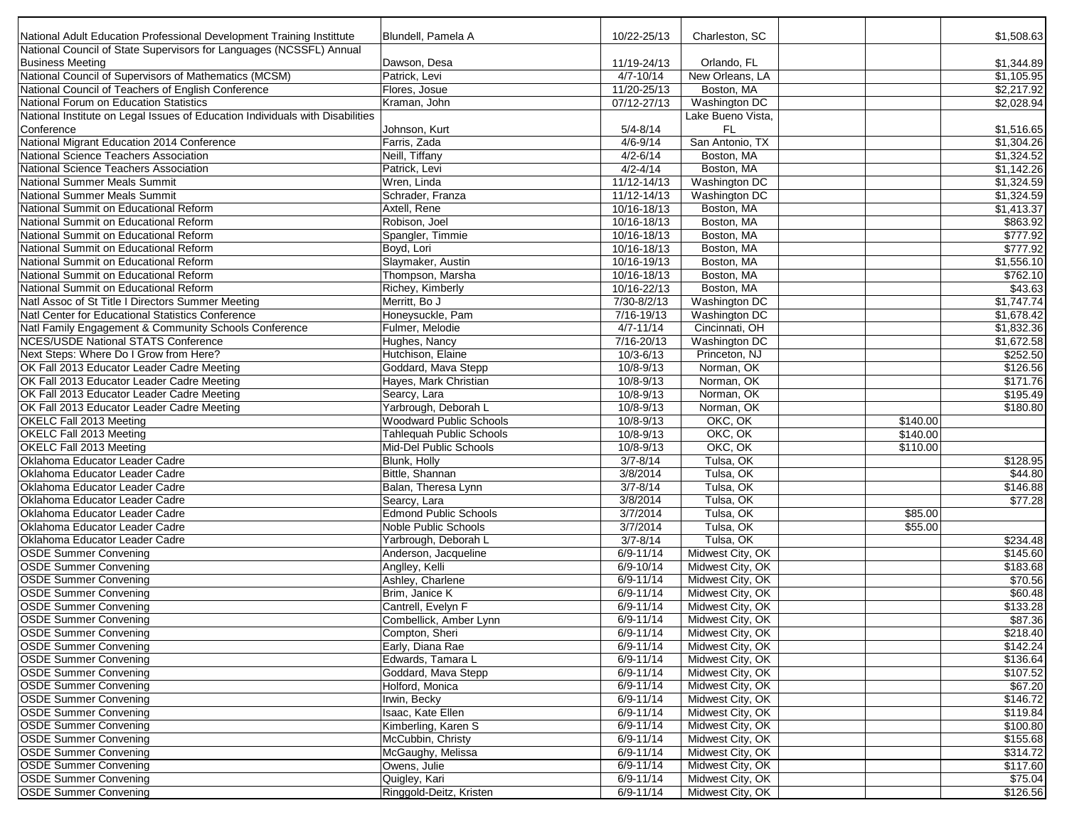| National Adult Education Professional Development Training Instittute         | Blundell, Pamela A           | 10/22-25/13     | Charleston, SC       |          | \$1,508.63 |
|-------------------------------------------------------------------------------|------------------------------|-----------------|----------------------|----------|------------|
| National Council of State Supervisors for Languages (NCSSFL) Annual           |                              |                 |                      |          |            |
| <b>Business Meeting</b>                                                       | Dawson, Desa                 | 11/19-24/13     | Orlando, FL          |          | \$1,344.89 |
| National Council of Supervisors of Mathematics (MCSM)                         | Patrick, Levi                | $4/7 - 10/14$   | New Orleans, LA      |          | \$1,105.95 |
| National Council of Teachers of English Conference                            | Flores, Josue                | 11/20-25/13     | Boston, MA           |          | \$2,217.92 |
| National Forum on Education Statistics                                        | Kraman, John                 | 07/12-27/13     | Washington DC        |          | \$2,028.94 |
| National Institute on Legal Issues of Education Individuals with Disabilities |                              |                 | Lake Bueno Vista.    |          |            |
| Conference                                                                    | Johnson, Kurt                | $5/4 - 8/14$    | FL.                  |          | \$1,516.65 |
| National Migrant Education 2014 Conference                                    | Farris, Zada                 | $4/6 - 9/14$    | San Antonio, TX      |          | \$1,304.26 |
| National Science Teachers Association                                         | Neill, Tiffany               | $4/2 - 6/14$    | Boston, MA           |          | \$1,324.52 |
| National Science Teachers Association                                         | Patrick, Levi                | $4/2 - 4/14$    | Boston, MA           |          | \$1,142.26 |
| National Summer Meals Summit                                                  | Wren, Linda                  | $11/12 - 14/13$ | <b>Washington DC</b> |          | \$1,324.59 |
| National Summer Meals Summit                                                  | Schrader, Franza             | $11/12 - 14/13$ | Washington DC        |          | \$1,324.59 |
| National Summit on Educational Reform                                         | Axtell, Rene                 | 10/16-18/13     | Boston, MA           |          | \$1,413.37 |
| National Summit on Educational Reform                                         | Robison, Joel                | 10/16-18/13     | Boston, MA           |          | \$863.92   |
| National Summit on Educational Reform                                         | Spangler, Timmie             | 10/16-18/13     | Boston, MA           |          | \$777.92   |
| National Summit on Educational Reform                                         | Boyd, Lori                   | 10/16-18/13     | Boston, MA           |          | \$777.92   |
| National Summit on Educational Reform                                         | Slaymaker, Austin            | 10/16-19/13     | Boston, MA           |          | \$1,556.10 |
| National Summit on Educational Reform                                         | Thompson, Marsha             | 10/16-18/13     | Boston, MA           |          | \$762.10   |
| National Summit on Educational Reform                                         | Richey, Kimberly             | 10/16-22/13     | Boston, MA           |          | \$43.63    |
| Natl Assoc of St Title I Directors Summer Meeting                             | Merritt, Bo J                | $7/30 - 8/2/13$ | <b>Washington DC</b> |          | \$1,747.74 |
| Natl Center for Educational Statistics Conference                             | Honeysuckle, Pam             | $7/16 - 19/13$  | Washington DC        |          | \$1,678.42 |
| Natl Family Engagement & Community Schools Conference                         | Fulmer, Melodie              | $4/7 - 11/14$   | Cincinnati, OH       |          | \$1,832.36 |
| <b>NCES/USDE National STATS Conference</b>                                    | Hughes, Nancy                | 7/16-20/13      | <b>Washington DC</b> |          | \$1,672.58 |
| Next Steps: Where Do I Grow from Here?                                        |                              | $10/3 - 6/13$   |                      |          |            |
|                                                                               | Hutchison, Elaine            |                 | Princeton, NJ        |          | \$252.50   |
| OK Fall 2013 Educator Leader Cadre Meeting                                    | Goddard, Mava Stepp          | 10/8-9/13       | Norman, OK           |          | \$126.56   |
| OK Fall 2013 Educator Leader Cadre Meeting                                    | Hayes, Mark Christian        | $10/8 - 9/13$   | Norman, OK           |          | \$171.76   |
| OK Fall 2013 Educator Leader Cadre Meeting                                    | Searcy, Lara                 | 10/8-9/13       | Norman, OK           |          | \$195.49   |
| OK Fall 2013 Educator Leader Cadre Meeting                                    | Yarbrough, Deborah L         | 10/8-9/13       | Norman, OK           |          | \$180.80   |
| OKELC Fall 2013 Meeting                                                       | Woodward Public Schools      | $10/8 - 9/13$   | OKC, OK              | \$140.00 |            |
| OKELC Fall 2013 Meeting                                                       | Tahlequah Public Schools     | $10/8 - 9/13$   | OKC, OK              | \$140.00 |            |
| OKELC Fall 2013 Meeting                                                       | Mid-Del Public Schools       | 10/8-9/13       | OKC, OK              | \$110.00 |            |
| Oklahoma Educator Leader Cadre                                                | Blunk, Holly                 | $3/7 - 8/14$    | Tulsa, OK            |          | \$128.95   |
| Oklahoma Educator Leader Cadre                                                | Bittle, Shannan              | 3/8/2014        | Tulsa, OK            |          | \$44.80    |
| Oklahoma Educator Leader Cadre                                                | Balan, Theresa Lynn          | $3/7 - 8/14$    | Tulsa, OK            |          | \$146.88   |
| Oklahoma Educator Leader Cadre                                                | Searcy, Lara                 | 3/8/2014        | Tulsa, OK            |          | \$77.28    |
| Oklahoma Educator Leader Cadre                                                | <b>Edmond Public Schools</b> | 3/7/2014        | Tulsa, OK            | \$85.00  |            |
| Oklahoma Educator Leader Cadre                                                | Noble Public Schools         | 3/7/2014        | Tulsa, OK            | \$55.00  |            |
| Oklahoma Educator Leader Cadre                                                | Yarbrough, Deborah L         | $3/7 - 8/14$    | Tulsa, OK            |          | \$234.48   |
| <b>OSDE Summer Convening</b>                                                  | Anderson, Jacqueline         | $6/9 - 11/14$   | Midwest City, OK     |          | \$145.60   |
| <b>OSDE Summer Convening</b>                                                  | Anglley, Kelli               | 6/9-10/14       | Midwest City, OK     |          | \$183.68   |
| <b>OSDE Summer Convening</b>                                                  | Ashley, Charlene             | $6/9 - 11/14$   | Midwest City, OK     |          | \$70.56    |
| <b>OSDE Summer Convening</b>                                                  | Brim, Janice K               | $6/9 - 11/14$   | Midwest City, OK     |          | \$60.48    |
| <b>OSDE Summer Convening</b>                                                  | Cantrell, Evelyn F           | $6/9 - 11/14$   | Midwest City, OK     |          | \$133.28   |
| <b>OSDE Summer Convening</b>                                                  | Combellick, Amber Lynn       | $6/9 - 11/14$   | Midwest City, OK     |          | \$87.36    |
| <b>OSDE Summer Convening</b>                                                  | Compton, Sheri               | 6/9-11/14       | Midwest City, OK     |          | \$218.40   |
| <b>OSDE Summer Convening</b>                                                  | Early, Diana Rae             | $6/9 - 11/14$   | Midwest City, OK     |          | \$142.24   |
|                                                                               |                              |                 |                      |          |            |
| <b>OSDE Summer Convening</b>                                                  | Edwards, Tamara L            | 6/9-11/14       | Midwest City, OK     |          | \$136.64   |
| <b>OSDE Summer Convening</b>                                                  | Goddard, Mava Stepp          | 6/9-11/14       | Midwest City, OK     |          | \$107.52   |
| <b>OSDE Summer Convening</b>                                                  | Holford, Monica              | $6/9 - 11/14$   | Midwest City, OK     |          | \$67.20    |
| <b>OSDE Summer Convening</b>                                                  | Irwin, Becky                 | 6/9-11/14       | Midwest City, OK     |          | \$146.72   |
| <b>OSDE Summer Convening</b>                                                  | Isaac, Kate Ellen            | $6/9 - 11/14$   | Midwest City, OK     |          | \$119.84   |
| <b>OSDE Summer Convening</b>                                                  | Kimberling, Karen S          | $6/9 - 11/14$   | Midwest City, OK     |          | \$100.80   |
| <b>OSDE Summer Convening</b>                                                  | McCubbin, Christy            | 6/9-11/14       | Midwest City, OK     |          | \$155.68   |
| <b>OSDE Summer Convening</b>                                                  | McGaughy, Melissa            | $6/9 - 11/14$   | Midwest City, OK     |          | \$314.72   |
| <b>OSDE Summer Convening</b>                                                  | Owens, Julie                 | 6/9-11/14       | Midwest City, OK     |          | \$117.60   |
| <b>OSDE Summer Convening</b>                                                  | Quigley, Kari                | $6/9 - 11/14$   | Midwest City, OK     |          | \$75.04    |
| <b>OSDE Summer Convening</b>                                                  | Ringgold-Deitz, Kristen      | 6/9-11/14       | Midwest City, OK     |          | \$126.56   |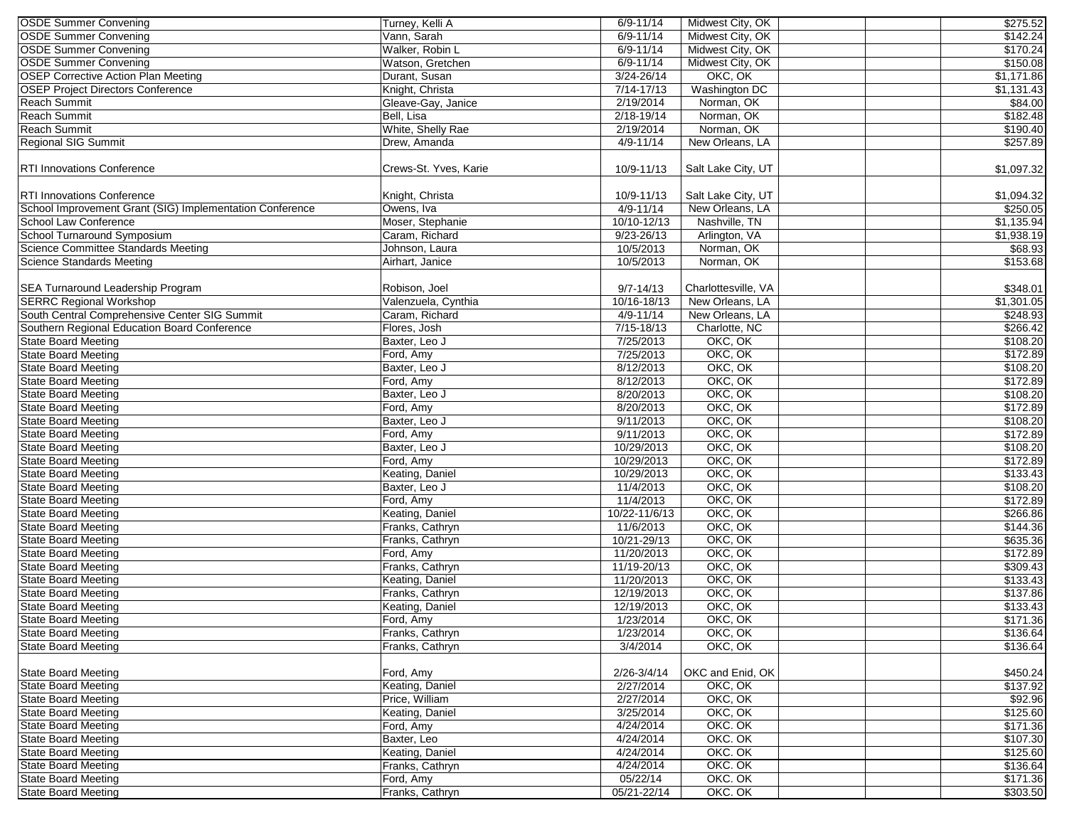| <b>OSDE Summer Convening</b>                             | Turney, Kelli A       | $6/9 - 11/14$  | Midwest City, OK    | \$275.52                |
|----------------------------------------------------------|-----------------------|----------------|---------------------|-------------------------|
| <b>OSDE Summer Convening</b>                             | Vann, Sarah           | $6/9 - 11/14$  | Midwest City, OK    | \$142.24                |
| <b>OSDE Summer Convening</b>                             | Walker, Robin L       | $6/9 - 11/14$  | Midwest City, OK    | \$170.24                |
| <b>OSDE Summer Convening</b>                             | Watson, Gretchen      | $6/9 - 11/14$  | Midwest City, OK    | \$150.08                |
| <b>OSEP Corrective Action Plan Meeting</b>               | Durant, Susan         | $3/24 - 26/14$ | OKC, OK             | \$1,171.86              |
| <b>OSEP Project Directors Conference</b>                 | Knight, Christa       | $7/14 - 17/13$ | Washington DC       | \$1,131.43              |
| Reach Summit                                             | Gleave-Gay, Janice    | 2/19/2014      | Norman, OK          | \$84.00                 |
| <b>Reach Summit</b>                                      | Bell, Lisa            | $2/18 - 19/14$ | Norman, OK          | \$182.48                |
| <b>Reach Summit</b>                                      | White, Shelly Rae     | 2/19/2014      | Norman, OK          | \$190.40                |
| Regional SIG Summit                                      | Drew, Amanda          | $4/9 - 11/14$  | New Orleans, LA     | \$257.89                |
|                                                          |                       |                |                     |                         |
| <b>RTI Innovations Conference</b>                        | Crews-St. Yves, Karie | 10/9-11/13     | Salt Lake City, UT  | \$1,097.32              |
| <b>RTI Innovations Conference</b>                        | Knight, Christa       | 10/9-11/13     | Salt Lake City, UT  | \$1,094.32              |
| School Improvement Grant (SIG) Implementation Conference | Owens, Iva            | $4/9 - 11/14$  | New Orleans, LA     | \$250.05                |
| School Law Conference                                    | Moser, Stephanie      | 10/10-12/13    | Nashville, TN       | \$1,135.94              |
| School Turnaround Symposium                              | Caram, Richard        | $9/23 - 26/13$ | Arlington, VA       | \$1,938.19              |
| Science Committee Standards Meeting                      | Johnson, Laura        | 10/5/2013      | Norman, OK          | \$68.93                 |
| <b>Science Standards Meeting</b>                         | Airhart, Janice       | 10/5/2013      | Norman, OK          | \$153.68                |
|                                                          |                       |                |                     |                         |
| SEA Turnaround Leadership Program                        | Robison, Joel         | $9/7 - 14/13$  | Charlottesville, VA | \$348.01                |
| <b>SERRC Regional Workshop</b>                           | Valenzuela, Cynthia   | 10/16-18/13    | New Orleans, LA     | $\overline{\$1,301.05}$ |
| South Central Comprehensive Center SIG Summit            | Caram, Richard        | $4/9 - 11/14$  | New Orleans, LA     | \$248.93                |
| Southern Regional Education Board Conference             | Flores, Josh          | $7/15 - 18/13$ | Charlotte, NC       | \$266.42                |
| <b>State Board Meeting</b>                               | Baxter, Leo J         | 7/25/2013      | OKC, OK             | \$108.20                |
| <b>State Board Meeting</b>                               | Ford, Amy             | 7/25/2013      | OKC, OK             | \$172.89                |
| <b>State Board Meeting</b>                               | Baxter, Leo J         | 8/12/2013      | OKC, OK             | \$108.20                |
| <b>State Board Meeting</b>                               | Ford, Amy             | 8/12/2013      | OKC, OK             | \$172.89                |
| <b>State Board Meeting</b>                               | Baxter, Leo J         | 8/20/2013      | OKC, OK             |                         |
| <b>State Board Meeting</b>                               |                       |                | OKC, OK             | \$108.20                |
|                                                          | Ford, Amy             | 8/20/2013      |                     | \$172.89                |
| <b>State Board Meeting</b>                               | Baxter, Leo J         | 9/11/2013      | OKC, OK             | \$108.20                |
| <b>State Board Meeting</b>                               | Ford, Amy             | 9/11/2013      | OKC, OK             | \$172.89                |
| <b>State Board Meeting</b>                               | Baxter, Leo J         | 10/29/2013     | OKC, OK             | \$108.20                |
| <b>State Board Meeting</b>                               | Ford, Amy             | 10/29/2013     | OKC, OK             | \$172.89                |
| <b>State Board Meeting</b>                               | Keating, Daniel       | 10/29/2013     | OKC, OK             | \$133.43                |
| <b>State Board Meeting</b>                               | Baxter, Leo J         | 11/4/2013      | OKC, OK             | \$108.20                |
| <b>State Board Meeting</b>                               | Ford, Amy             | 11/4/2013      | OKC, OK             | \$172.89                |
| <b>State Board Meeting</b>                               | Keating, Daniel       | 10/22-11/6/13  | OKC, OK             | \$266.86                |
| <b>State Board Meeting</b>                               | Franks, Cathryn       | 11/6/2013      | OKC, OK             | \$144.36                |
| <b>State Board Meeting</b>                               | Franks, Cathryn       | 10/21-29/13    | OKC, OK             | \$635.36                |
| <b>State Board Meeting</b>                               | Ford, Amy             | 11/20/2013     | OKC, OK             | \$172.89                |
| <b>State Board Meeting</b>                               | Franks, Cathryn       | 11/19-20/13    | OKC, OK             | \$309.43                |
| <b>State Board Meeting</b>                               | Keating, Daniel       | 11/20/2013     | OKC, OK             | \$133.43                |
| <b>State Board Meeting</b>                               | Franks, Cathryn       | 12/19/2013     | OKC, OK             | \$137.86                |
| <b>State Board Meeting</b>                               | Keating, Daniel       | 12/19/2013     | OKC, OK             | \$133.43                |
| <b>State Board Meeting</b>                               | Ford, Amy             | 1/23/2014      | OKC, OK             | \$171.36                |
| <b>State Board Meeting</b>                               | Franks, Cathryn       | 1/23/2014      | OKC, OK             | \$136.64                |
| <b>State Board Meeting</b>                               | Franks, Cathryn       | 3/4/2014       | OKC, OK             | \$136.64                |
|                                                          |                       |                |                     |                         |
| <b>State Board Meeting</b>                               | Ford, Amy             | 2/26-3/4/14    | OKC and Enid, OK    | \$450.24                |
| <b>State Board Meeting</b>                               | Keating, Daniel       | 2/27/2014      | OKC, OK             | \$137.92                |
| State Board Meeting                                      | Price, William        | 2/27/2014      | OKC, OK             | \$92.96                 |
| <b>State Board Meeting</b>                               | Keating, Daniel       | 3/25/2014      | OKC, OK             | \$125.60                |
| <b>State Board Meeting</b>                               | Ford, Amy             | 4/24/2014      | OKC. OK             | \$171.36                |
| <b>State Board Meeting</b>                               | Baxter, Leo           | 4/24/2014      | OKC. OK             | \$107.30                |
| <b>State Board Meeting</b>                               | Keating, Daniel       | 4/24/2014      | OKC. OK             | \$125.60                |
| <b>State Board Meeting</b>                               | Franks, Cathryn       | 4/24/2014      | OKC. OK             | \$136.64                |
| <b>State Board Meeting</b>                               | Ford, Amy             | 05/22/14       | OKC. OK             | \$171.36                |
| <b>State Board Meeting</b>                               | Franks, Cathryn       | 05/21-22/14    | OKC. OK             | \$303.50                |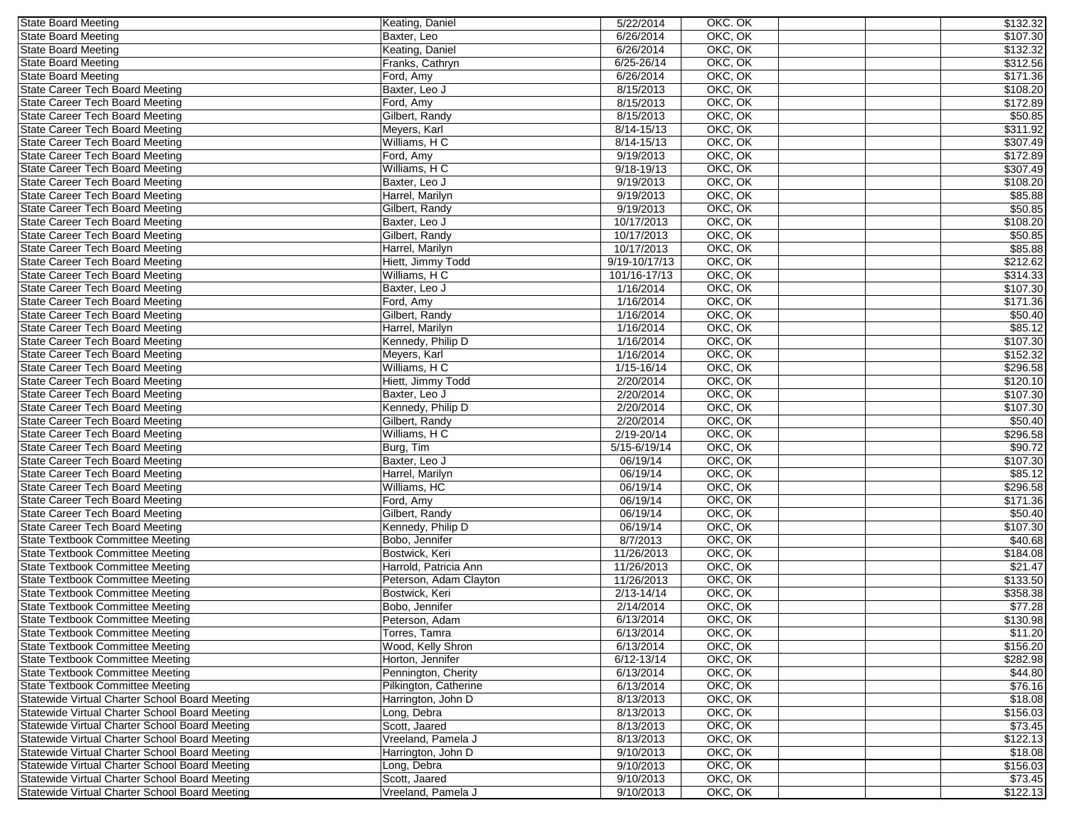| <b>State Board Meeting</b>                     | Keating, Daniel        | 5/22/2014              | OKC. OK | \$132.32 |
|------------------------------------------------|------------------------|------------------------|---------|----------|
| <b>State Board Meeting</b>                     | Baxter, Leo            | 6/26/2014              | OKC, OK | \$107.30 |
| <b>State Board Meeting</b>                     | Keating, Daniel        | 6/26/2014              | OKC, OK | \$132.32 |
| <b>State Board Meeting</b>                     | Franks, Cathryn        | $6/25 - 26/14$         | OKC, OK | \$312.56 |
| <b>State Board Meeting</b>                     | Ford, Amy              | 6/26/2014              | OKC, OK | \$171.36 |
| State Career Tech Board Meeting                | Baxter, Leo J          | 8/15/2013              | OKC, OK | \$108.20 |
| <b>State Career Tech Board Meeting</b>         | Ford, Amy              | 8/15/2013              | OKC, OK | \$172.89 |
| State Career Tech Board Meeting                | Gilbert, Randy         | 8/15/2013              | OKC, OK | \$50.85  |
| State Career Tech Board Meeting                | Meyers, Karl           | $8/14 - 15/13$         | OKC, OK | \$311.92 |
| State Career Tech Board Meeting                | Williams, HC           | 8/14-15/13             | OKC, OK | \$307.49 |
| State Career Tech Board Meeting                | Ford, Amy              | 9/19/2013              | OKC, OK | \$172.89 |
| State Career Tech Board Meeting                | Williams, HC           | 9/18-19/13             | OKC, OK | \$307.49 |
| State Career Tech Board Meeting                | Baxter, Leo J          | 9/19/2013              | OKC, OK | \$108.20 |
| State Career Tech Board Meeting                | Harrel, Marilyn        | 9/19/2013              | OKC, OK | \$85.88  |
| State Career Tech Board Meeting                | Gilbert, Randy         | 9/19/2013              | OKC, OK | \$50.85  |
| State Career Tech Board Meeting                | Baxter, Leo J          | 10/17/2013             | OKC, OK | \$108.20 |
| State Career Tech Board Meeting                | Gilbert, Randy         | 10/17/2013             | OKC, OK | \$50.85  |
| <b>State Career Tech Board Meeting</b>         | Harrel, Marilyn        | 10/17/2013             | OKC, OK | \$85.88  |
| State Career Tech Board Meeting                | Hiett, Jimmy Todd      | 9/19-10/17/13          | OKC, OK | \$212.62 |
| <b>State Career Tech Board Meeting</b>         | Williams, HC           | 101/16-17/13           | OKC, OK | \$314.33 |
| <b>State Career Tech Board Meeting</b>         | Baxter, Leo J          |                        | OKC, OK | \$107.30 |
| <b>State Career Tech Board Meeting</b>         | Ford, Amy              | 1/16/2014<br>1/16/2014 | OKC, OK | \$171.36 |
| State Career Tech Board Meeting                | Gilbert, Randy         | 1/16/2014              | OKC, OK | \$50.40  |
| State Career Tech Board Meeting                | Harrel, Marilyn        | 1/16/2014              | OKC, OK | \$85.12  |
| State Career Tech Board Meeting                | Kennedy, Philip D      | 1/16/2014              | OKC, OK | \$107.30 |
| State Career Tech Board Meeting                | Meyers, Karl           | 1/16/2014              | OKC, OK | \$152.32 |
| State Career Tech Board Meeting                | Williams, HC           | $1/15 - 16/14$         | OKC, OK | \$296.58 |
| <b>State Career Tech Board Meeting</b>         | Hiett, Jimmy Todd      | 2/20/2014              | OKC, OK | \$120.10 |
| <b>State Career Tech Board Meeting</b>         | Baxter, Leo J          | 2/20/2014              | OKC, OK | \$107.30 |
| State Career Tech Board Meeting                | Kennedy, Philip D      | 2/20/2014              | OKC, OK | \$107.30 |
| State Career Tech Board Meeting                | Gilbert, Randy         | 2/20/2014              | OKC, OK | \$50.40  |
| <b>State Career Tech Board Meeting</b>         | Williams, HC           | 2/19-20/14             | OKC, OK | \$296.58 |
| State Career Tech Board Meeting                | Burg, Tim              | 5/15-6/19/14           | OKC, OK | \$90.72  |
| State Career Tech Board Meeting                | Baxter, Leo J          | 06/19/14               | OKC, OK | \$107.30 |
| State Career Tech Board Meeting                | Harrel, Marilyn        | 06/19/14               | OKC, OK | \$85.12  |
| <b>State Career Tech Board Meeting</b>         | Williams, HC           | 06/19/14               | OKC, OK | \$296.58 |
| State Career Tech Board Meeting                | Ford, Amy              | 06/19/14               | OKC, OK | \$171.36 |
| State Career Tech Board Meeting                | Gilbert, Randy         | 06/19/14               | OKC, OK | \$50.40  |
| State Career Tech Board Meeting                | Kennedy, Philip D      | 06/19/14               | OKC, OK | \$107.30 |
| <b>State Textbook Committee Meeting</b>        | Bobo, Jennifer         | 8/7/2013               | OKC, OK | \$40.68  |
| State Textbook Committee Meeting               | Bostwick, Keri         | 11/26/2013             | OKC, OK | \$184.08 |
| <b>State Textbook Committee Meeting</b>        | Harrold, Patricia Ann  | 11/26/2013             | OKC, OK | \$21.47  |
| <b>State Textbook Committee Meeting</b>        | Peterson, Adam Clayton | 11/26/2013             | OKC, OK | \$133.50 |
| State Textbook Committee Meeting               | Bostwick, Keri         | $2/13 - 14/14$         | OKC, OK | \$358.38 |
| <b>State Textbook Committee Meeting</b>        | Bobo, Jennifer         | 2/14/2014              | OKC, OK | \$77.28  |
| <b>State Textbook Committee Meeting</b>        | Peterson, Adam         | 6/13/2014              | OKC, OK | \$130.98 |
| State Textbook Committee Meeting               | Torres, Tamra          | 6/13/2014              | OKC, OK | \$11.20  |
| State Textbook Committee Meeting               | Wood, Kelly Shron      | 6/13/2014              | OKC, OK | \$156.20 |
| State Textbook Committee Meeting               | Horton, Jennifer       | $6/12 - 13/14$         | OKC, OK | \$282.98 |
| State Textbook Committee Meeting               | Pennington, Cherity    | 6/13/2014              | OKC, OK | \$44.80  |
| State Textbook Committee Meeting               | Pilkington, Catherine  | 6/13/2014              | OKC, OK | \$76.16  |
| Statewide Virtual Charter School Board Meeting | Harrington, John D     | 8/13/2013              | OKC, OK | \$18.08  |
| Statewide Virtual Charter School Board Meeting | Long, Debra            | 8/13/2013              | OKC, OK | \$156.03 |
| Statewide Virtual Charter School Board Meeting | Scott, Jaared          | 8/13/2013              | OKC, OK | \$73.45  |
| Statewide Virtual Charter School Board Meeting | Vreeland, Pamela J     | 8/13/2013              | OKC, OK | \$122.13 |
| Statewide Virtual Charter School Board Meeting | Harrington, John D     | 9/10/2013              | OKC, OK | \$18.08  |
| Statewide Virtual Charter School Board Meeting | Long, Debra            | 9/10/2013              | OKC, OK | \$156.03 |
| Statewide Virtual Charter School Board Meeting | Scott, Jaared          | 9/10/2013              | OKC, OK | \$73.45  |
| Statewide Virtual Charter School Board Meeting | Vreeland, Pamela J     | 9/10/2013              | OKC, OK | \$122.13 |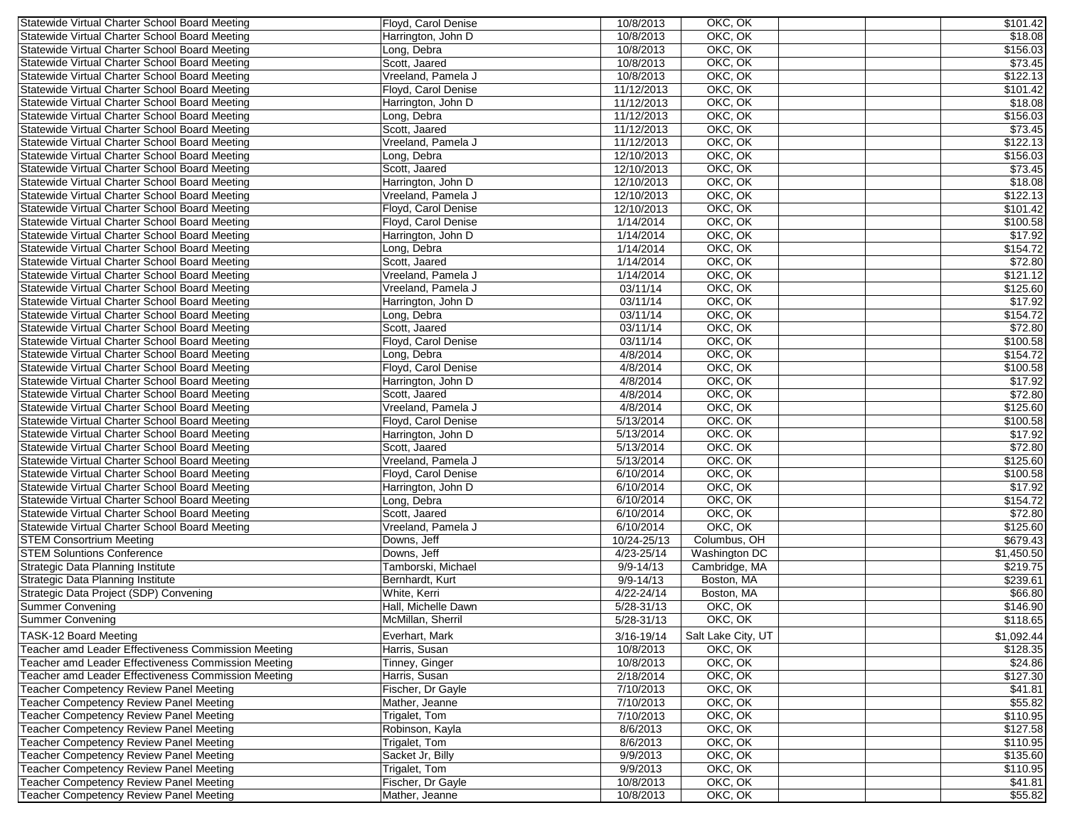| Statewide Virtual Charter School Board Meeting      | Floyd, Carol Denise | 10/8/2013      | OKC, OK            | \$101.42]  |
|-----------------------------------------------------|---------------------|----------------|--------------------|------------|
| Statewide Virtual Charter School Board Meeting      | Harrington, John D  | 10/8/2013      | OKC, OK            | \$18.08    |
| Statewide Virtual Charter School Board Meeting      | Long, Debra         | 10/8/2013      | OKC, OK            | \$156.03   |
| Statewide Virtual Charter School Board Meeting      | Scott, Jaared       | 10/8/2013      | OKC, OK            | \$73.45    |
| Statewide Virtual Charter School Board Meeting      | Vreeland, Pamela J  | 10/8/2013      | OKC, OK            | \$122.13   |
| Statewide Virtual Charter School Board Meeting      | Floyd, Carol Denise | 11/12/2013     | OKC, OK            | \$101.42   |
| Statewide Virtual Charter School Board Meeting      | Harrington, John D  | 11/12/2013     | OKC, OK            | \$18.08    |
| Statewide Virtual Charter School Board Meeting      | Long, Debra         | 11/12/2013     | OKC, OK            | \$156.03   |
| Statewide Virtual Charter School Board Meeting      | Scott, Jaared       | 11/12/2013     | OKC, OK            | \$73.45    |
| Statewide Virtual Charter School Board Meeting      | Vreeland, Pamela J  | 11/12/2013     | OKC, OK            | \$122.13   |
| Statewide Virtual Charter School Board Meeting      | Long, Debra         | 12/10/2013     | OKC, OK            | \$156.03   |
| Statewide Virtual Charter School Board Meeting      | Scott, Jaared       | 12/10/2013     | OKC, OK            | \$73.45    |
| Statewide Virtual Charter School Board Meeting      | Harrington, John D  | 12/10/2013     | OKC, OK            | \$18.08    |
| Statewide Virtual Charter School Board Meeting      | Vreeland, Pamela J  | 12/10/2013     | OKC, OK            | \$122.13   |
| Statewide Virtual Charter School Board Meeting      | Floyd, Carol Denise | 12/10/2013     | OKC, OK            | \$101.42   |
|                                                     |                     |                |                    |            |
| Statewide Virtual Charter School Board Meeting      | Floyd, Carol Denise | 1/14/2014      | OKC, OK            | \$100.58   |
| Statewide Virtual Charter School Board Meeting      | Harrington, John D  | 1/14/2014      | OKC, OK            | \$17.92    |
| Statewide Virtual Charter School Board Meeting      | Long, Debra         | 1/14/2014      | OKC, OK            | \$154.72   |
| Statewide Virtual Charter School Board Meeting      | Scott, Jaared       | 1/14/2014      | OKC, OK            | \$72.80    |
| Statewide Virtual Charter School Board Meeting      | Vreeland, Pamela J  | 1/14/2014      | OKC, OK            | \$121.12   |
| Statewide Virtual Charter School Board Meeting      | Vreeland, Pamela J  | 03/11/14       | OKC, OK            | \$125.60   |
| Statewide Virtual Charter School Board Meeting      | Harrington, John D  | 03/11/14       | OKC, OK            | \$17.92    |
| Statewide Virtual Charter School Board Meeting      | Long, Debra         | 03/11/14       | OKC, OK            | \$154.72   |
| Statewide Virtual Charter School Board Meeting      | Scott, Jaared       | 03/11/14       | OKC, OK            | \$72.80    |
| Statewide Virtual Charter School Board Meeting      | Floyd, Carol Denise | 03/11/14       | OKC, OK            | \$100.58   |
| Statewide Virtual Charter School Board Meeting      | Long, Debra         | 4/8/2014       | OKC, OK            | \$154.72   |
| Statewide Virtual Charter School Board Meeting      | Floyd, Carol Denise | 4/8/2014       | OKC, OK            | \$100.58   |
| Statewide Virtual Charter School Board Meeting      | Harrington, John D  | 4/8/2014       | OKC, OK            | \$17.92    |
| Statewide Virtual Charter School Board Meeting      | Scott, Jaared       | 4/8/2014       | OKC, OK            | \$72.80    |
| Statewide Virtual Charter School Board Meeting      | Vreeland, Pamela J  | 4/8/2014       | OKC, OK            | \$125.60   |
| Statewide Virtual Charter School Board Meeting      | Floyd, Carol Denise | 5/13/2014      | OKC. OK            | \$100.58   |
| Statewide Virtual Charter School Board Meeting      | Harrington, John D  | 5/13/2014      | OKC. OK            | \$17.92    |
| Statewide Virtual Charter School Board Meeting      | Scott, Jaared       | 5/13/2014      | OKC. OK            | \$72.80    |
| Statewide Virtual Charter School Board Meeting      | Vreeland, Pamela J  | 5/13/2014      | OKC. OK            | \$125.60   |
| Statewide Virtual Charter School Board Meeting      | Floyd, Carol Denise | 6/10/2014      | OKC, OK            | \$100.58   |
| Statewide Virtual Charter School Board Meeting      | Harrington, John D  | 6/10/2014      | OKC, OK            | \$17.92    |
| Statewide Virtual Charter School Board Meeting      | Long, Debra         | 6/10/2014      | OKC, OK            | \$154.72   |
| Statewide Virtual Charter School Board Meeting      | Scott, Jaared       | 6/10/2014      | OKC, OK            | \$72.80    |
| Statewide Virtual Charter School Board Meeting      | Vreeland, Pamela J  | 6/10/2014      | OKC, OK            | \$125.60   |
| <b>STEM Consortrium Meeting</b>                     | Downs, Jeff         | 10/24-25/13    | Columbus, OH       | \$679.43   |
| <b>STEM Soluntions Conference</b>                   | Downs, Jeff         | $4/23 - 25/14$ | Washington DC      | \$1,450.50 |
| Strategic Data Planning Institute                   | Tamborski, Michael  | $9/9 - 14/13$  | Cambridge, MA      | \$219.75   |
| Strategic Data Planning Institute                   | Bernhardt, Kurt     | $9/9 - 14/13$  | Boston, MA         | \$239.61   |
| Strategic Data Project (SDP) Convening              | White, Kerri        | 4/22-24/14     | Boston, MA         | \$66.80    |
| Summer Convening                                    | Hall, Michelle Dawn | $5/28 - 31/13$ | OKC, OK            | \$146.90   |
| Summer Convening                                    | McMillan, Sherril   | 5/28-31/13     | OKC, OK            | \$118.65   |
|                                                     |                     |                |                    |            |
| TASK-12 Board Meeting                               | Everhart, Mark      | 3/16-19/14     | Salt Lake City, UT | \$1,092.44 |
| Teacher amd Leader Effectiveness Commission Meeting | Harris, Susan       | 10/8/2013      | OKC, OK            | \$128.35   |
| Teacher amd Leader Effectiveness Commission Meeting | Tinney, Ginger      | 10/8/2013      | OKC, OK            | \$24.86    |
| Teacher amd Leader Effectiveness Commission Meeting | Harris, Susan       | 2/18/2014      | OKC, OK            | \$127.30   |
| <b>Teacher Competency Review Panel Meeting</b>      | Fischer, Dr Gayle   | 7/10/2013      | OKC, OK            | \$41.81    |
| Teacher Competency Review Panel Meeting             | Mather, Jeanne      | 7/10/2013      | OKC, OK            | \$55.82    |
| Teacher Competency Review Panel Meeting             | Trigalet, Tom       | 7/10/2013      | OKC, OK            | \$110.95   |
| <b>Teacher Competency Review Panel Meeting</b>      | Robinson, Kayla     | 8/6/2013       | OKC, OK            | \$127.58   |
| <b>Teacher Competency Review Panel Meeting</b>      | Trigalet, Tom       | 8/6/2013       | OKC, OK            | \$110.95   |
| Teacher Competency Review Panel Meeting             | Sacket Jr, Billy    | 9/9/2013       | OKC, OK            | \$135.60   |
| <b>Teacher Competency Review Panel Meeting</b>      | Trigalet, Tom       | 9/9/2013       | OKC, OK            | \$110.95   |
| Teacher Competency Review Panel Meeting             | Fischer, Dr Gayle   | 10/8/2013      | OKC, OK            | \$41.81    |
| <b>Teacher Competency Review Panel Meeting</b>      | Mather, Jeanne      | 10/8/2013      | OKC, OK            | \$55.82    |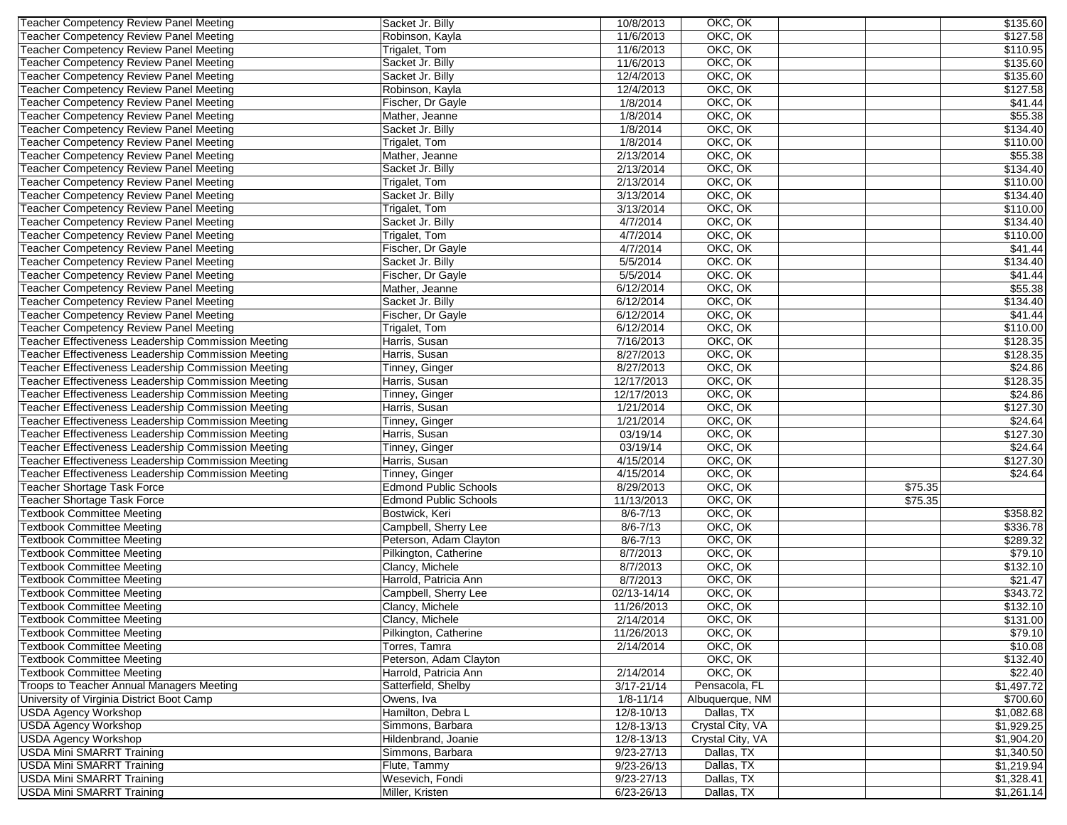| Teacher Competency Review Panel Meeting                              | Sacket Jr. Billy                | 10/8/2013      | OKC, OK          |         | \$135.60               |
|----------------------------------------------------------------------|---------------------------------|----------------|------------------|---------|------------------------|
| Teacher Competency Review Panel Meeting                              | Robinson, Kayla                 | 11/6/2013      | OKC, OK          |         | \$127.58               |
| Teacher Competency Review Panel Meeting                              | Trigalet, Tom                   | 11/6/2013      | OKC, OK          |         | \$110.95               |
| Teacher Competency Review Panel Meeting                              | Sacket Jr. Billy                | 11/6/2013      | OKC, OK          |         | \$135.60               |
| Teacher Competency Review Panel Meeting                              | Sacket Jr. Billy                | 12/4/2013      | OKC, OK          |         | \$135.60               |
| Teacher Competency Review Panel Meeting                              | Robinson, Kayla                 | 12/4/2013      | OKC, OK          |         | \$127.58               |
| Teacher Competency Review Panel Meeting                              | Fischer, Dr Gayle               | 1/8/2014       | OKC, OK          |         | \$41.44                |
| Teacher Competency Review Panel Meeting                              | Mather, Jeanne                  | 1/8/2014       | OKC, OK          |         | \$55.38                |
| Teacher Competency Review Panel Meeting                              | Sacket Jr. Billy                | 1/8/2014       | OKC, OK          |         | \$134.40               |
| Teacher Competency Review Panel Meeting                              | Trigalet, Tom                   | 1/8/2014       | OKC, OK          |         | \$110.00               |
| Teacher Competency Review Panel Meeting                              | Mather, Jeanne                  | 2/13/2014      | OKC, OK          |         | \$55.38                |
| Teacher Competency Review Panel Meeting                              | Sacket Jr. Billy                | 2/13/2014      | OKC, OK          |         | \$134.40               |
| Teacher Competency Review Panel Meeting                              | Trigalet, Tom                   | 2/13/2014      | OKC, OK          |         | \$110.00               |
| <b>Teacher Competency Review Panel Meeting</b>                       | Sacket Jr. Billy                | 3/13/2014      | OKC, OK          |         | \$134.40               |
| Teacher Competency Review Panel Meeting                              | Trigalet, Tom                   | 3/13/2014      | OKC, OK          |         | \$110.00               |
|                                                                      | Sacket Jr. Billy                | 4/7/2014       | OKC, OK          |         | \$134.40               |
| Teacher Competency Review Panel Meeting                              | Trigalet, Tom                   | 4/7/2014       | OKC, OK          |         |                        |
| Teacher Competency Review Panel Meeting                              |                                 |                |                  |         | \$110.00               |
| Teacher Competency Review Panel Meeting                              | Fischer, Dr Gayle               | 4/7/2014       | OKC, OK          |         | \$41.44                |
| Teacher Competency Review Panel Meeting                              | Sacket Jr. Billy                | 5/5/2014       | OKC. OK          |         | \$134.40               |
| Teacher Competency Review Panel Meeting                              | Fischer, Dr Gayle               | 5/5/2014       | OKC. OK          |         | \$41.44                |
| Teacher Competency Review Panel Meeting                              | Mather, Jeanne                  | 6/12/2014      | OKC, OK          |         | \$55.38                |
| Teacher Competency Review Panel Meeting                              | Sacket Jr. Billy                | 6/12/2014      | OKC, OK          |         | \$134.40               |
| Teacher Competency Review Panel Meeting                              | Fischer, Dr Gayle               | 6/12/2014      | OKC, OK          |         | \$41.44                |
| Teacher Competency Review Panel Meeting                              | Trigalet, Tom                   | 6/12/2014      | OKC, OK          |         | \$110.00               |
| Teacher Effectiveness Leadership Commission Meeting                  | Harris, Susan                   | 7/16/2013      | OKC, OK          |         | \$128.35               |
| Teacher Effectiveness Leadership Commission Meeting                  | Harris, Susan                   | 8/27/2013      | OKC, OK          |         | \$128.35               |
| Teacher Effectiveness Leadership Commission Meeting                  | Tinney, Ginger                  | 8/27/2013      | OKC, OK          |         | \$24.86                |
| Teacher Effectiveness Leadership Commission Meeting                  | Harris, Susan                   | 12/17/2013     | OKC, OK          |         | \$128.35               |
| Teacher Effectiveness Leadership Commission Meeting                  | Tinney, Ginger                  | 12/17/2013     | OKC, OK          |         | \$24.86                |
| Teacher Effectiveness Leadership Commission Meeting                  | Harris, Susan                   | 1/21/2014      | OKC, OK          |         | \$127.30               |
| Teacher Effectiveness Leadership Commission Meeting                  | Tinney, Ginger                  | 1/21/2014      | OKC, OK          |         | \$24.64                |
| Teacher Effectiveness Leadership Commission Meeting                  | Harris, Susan                   | 03/19/14       | OKC, OK          |         | \$127.30               |
| Teacher Effectiveness Leadership Commission Meeting                  | Tinney, Ginger                  | 03/19/14       | OKC, OK          |         | \$24.64                |
| Teacher Effectiveness Leadership Commission Meeting                  | Harris, Susan                   | 4/15/2014      | OKC, OK          |         | \$127.30               |
| Teacher Effectiveness Leadership Commission Meeting                  | Tinney, Ginger                  | 4/15/2014      | OKC, OK          |         | \$24.64                |
| Teacher Shortage Task Force                                          | <b>Edmond Public Schools</b>    | 8/29/2013      | OKC, OK          | \$75.35 |                        |
| <b>Teacher Shortage Task Force</b>                                   | <b>Edmond Public Schools</b>    | 11/13/2013     | OKC, OK          | \$75.35 |                        |
| <b>Textbook Committee Meeting</b>                                    | Bostwick, Keri                  | $8/6 - 7/13$   | OKC, OK          |         | \$358.82               |
| <b>Textbook Committee Meeting</b>                                    | Campbell, Sherry Lee            | $8/6 - 7/13$   | OKC, OK          |         | \$336.78               |
| <b>Textbook Committee Meeting</b>                                    | Peterson, Adam Clayton          | $8/6 - 7/13$   | OKC, OK          |         | \$289.32               |
| <b>Textbook Committee Meeting</b>                                    | Pilkington, Catherine           | 8/7/2013       | OKC, OK          |         | \$79.10                |
| <b>Textbook Committee Meeting</b>                                    | Clancy, Michele                 | 8/7/2013       | OKC, OK          |         | \$132.10               |
| <b>Textbook Committee Meeting</b>                                    | Harrold, Patricia Ann           | 8/7/2013       | OKC, OK          |         | \$21.47                |
| <b>Textbook Committee Meeting</b>                                    | Campbell, Sherry Lee            | 02/13-14/14    | OKC, OK          |         | \$343.72               |
| <b>Textbook Committee Meeting</b>                                    | Clancy, Michele                 | 11/26/2013     | OKC, OK          |         | \$132.10               |
| <b>Textbook Committee Meeting</b>                                    | Clancy, Michele                 | 2/14/2014      | OKC, OK          |         | \$131.00               |
| <b>Textbook Committee Meeting</b>                                    | Pilkington, Catherine           | 11/26/2013     | OKC, OK          |         | \$79.10                |
| <b>Textbook Committee Meeting</b>                                    | Torres, Tamra                   | 2/14/2014      | OKC, OK          |         | \$10.08                |
| <b>Textbook Committee Meeting</b>                                    | Peterson, Adam Clayton          |                | OKC, OK          |         | \$132.40               |
| <b>Textbook Committee Meeting</b>                                    | Harrold, Patricia Ann           | 2/14/2014      | OKC, OK          |         | \$22.40                |
| Troops to Teacher Annual Managers Meeting                            | Satterfield, Shelby             | $3/17 - 21/14$ | Pensacola, FL    |         | $\overline{$1,497.72}$ |
| University of Virginia District Boot Camp                            | Owens, Iva                      | $1/8 - 11/14$  | Albuquerque, NM  |         | \$700.60               |
| <b>USDA Agency Workshop</b>                                          | Hamilton, Debra L               | 12/8-10/13     | Dallas, TX       |         | \$1,082.68             |
| <b>USDA Agency Workshop</b>                                          | Simmons, Barbara                | 12/8-13/13     | Crystal City, VA |         | \$1,929.25             |
|                                                                      |                                 |                | Crystal City, VA |         |                        |
| <b>USDA Agency Workshop</b>                                          | Hildenbrand, Joanie             | 12/8-13/13     |                  |         | \$1,904.20             |
| <b>USDA Mini SMARRT Training</b>                                     | Simmons, Barbara                | $9/23 - 27/13$ | Dallas, TX       |         | \$1,340.50             |
| <b>USDA Mini SMARRT Training</b><br><b>USDA Mini SMARRT Training</b> | Flute, Tammy<br>Wesevich, Fondi | 9/23-26/13     | Dallas, TX       |         | \$1,219.94             |
|                                                                      |                                 | $9/23 - 27/13$ | Dallas, TX       |         | \$1,328.41             |
| <b>USDA Mini SMARRT Training</b>                                     | Miller, Kristen                 | $6/23 - 26/13$ | Dallas, TX       |         | \$1,261.14             |